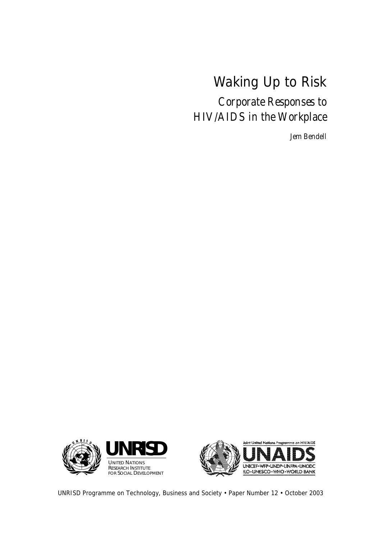# Waking Up to Risk

*Corporate Responses to HIV/AIDS in the Workplace* 

*Jem Bendell* 





UNRISD Programme on Technology, Business and Society • Paper Number 12 • October 2003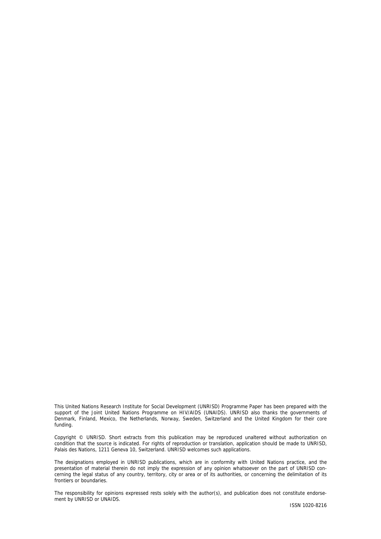This United Nations Research Institute for Social Development (UNRISD) Programme Paper has been prepared with the support of the Joint United Nations Programme on HIV/AIDS (UNAIDS). UNRISD also thanks the governments of Denmark, Finland, Mexico, the Netherlands, Norway, Sweden, Switzerland and the United Kingdom for their core funding.

Copyright © UNRISD. Short extracts from this publication may be reproduced unaltered without authorization on condition that the source is indicated. For rights of reproduction or translation, application should be made to UNRISD, Palais des Nations, 1211 Geneva 10, Switzerland. UNRISD welcomes such applications.

The designations employed in UNRISD publications, which are in conformity with United Nations practice, and the presentation of material therein do not imply the expression of any opinion whatsoever on the part of UNRISD concerning the legal status of any country, territory, city or area or of its authorities, or concerning the delimitation of its frontiers or boundaries.

The responsibility for opinions expressed rests solely with the author(s), and publication does not constitute endorsement by UNRISD or UNAIDS.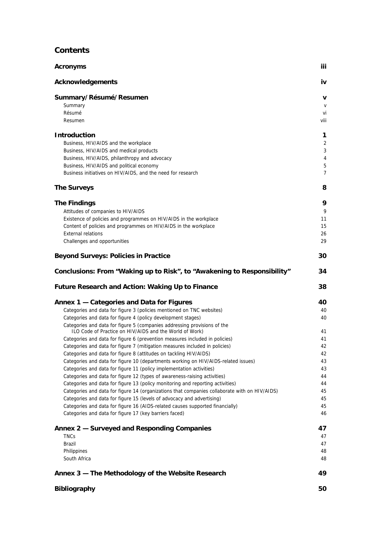### **Contents**

| <b>Acronyms</b>                                                                                                                                             | iii.           |
|-------------------------------------------------------------------------------------------------------------------------------------------------------------|----------------|
| <b>Acknowledgements</b>                                                                                                                                     | iv             |
| Summary/Résumé/Resumen                                                                                                                                      | v              |
| Summary                                                                                                                                                     | $\mathsf{V}$   |
| Résumé                                                                                                                                                      | vi             |
| Resumen                                                                                                                                                     | viii           |
| <b>Introduction</b>                                                                                                                                         | 1              |
| Business, HIV/AIDS and the workplace                                                                                                                        | 2              |
| Business, HIV/AIDS and medical products                                                                                                                     | 3              |
| Business, HIV/AIDS, philanthropy and advocacy                                                                                                               | 4              |
| Business, HIV/AIDS and political economy                                                                                                                    | 5              |
| Business initiatives on HIV/AIDS, and the need for research                                                                                                 | $\overline{7}$ |
| <b>The Surveys</b>                                                                                                                                          | 8              |
| <b>The Findings</b>                                                                                                                                         | 9              |
| Attitudes of companies to HIV/AIDS                                                                                                                          | 9              |
| Existence of policies and programmes on HIV/AIDS in the workplace                                                                                           | 11             |
| Content of policies and programmes on HIV/AIDS in the workplace                                                                                             | 15             |
| <b>External relations</b>                                                                                                                                   | 26             |
| Challenges and opportunities                                                                                                                                | 29             |
| <b>Beyond Surveys: Policies in Practice</b>                                                                                                                 | 30             |
| Conclusions: From "Waking up to Risk", to "Awakening to Responsibility"                                                                                     | 34             |
| <b>Future Research and Action: Waking Up to Finance</b>                                                                                                     | 38             |
|                                                                                                                                                             |                |
| Annex 1 - Categories and Data for Figures                                                                                                                   | 40             |
| Categories and data for figure 3 (policies mentioned on TNC websites)                                                                                       | 40             |
| Categories and data for figure 4 (policy development stages)                                                                                                | 40             |
| Categories and data for figure 5 (companies addressing provisions of the                                                                                    |                |
| ILO Code of Practice on HIV/AIDS and the World of Work)                                                                                                     | 41             |
| Categories and data for figure 6 (prevention measures included in policies)                                                                                 | 41             |
| Categories and data for figure 7 (mitigation measures included in policies)                                                                                 | 42             |
| Categories and data for figure 8 (attitudes on tackling HIV/AIDS)                                                                                           | 42             |
| Categories and data for figure 10 (departments working on HIV/AIDS-related issues)                                                                          | 43             |
| Categories and data for figure 11 (policy implementation activities)                                                                                        | 44             |
| Categories and data for figure 12 (types of awareness-raising activities)<br>Categories and data for figure 13 (policy monitoring and reporting activities) | 44             |
| Categories and data for figure 14 (organizations that companies collaborate with on HIV/AIDS)                                                               | 45             |
| Categories and data for figure 15 (levels of advocacy and advertising)                                                                                      | 43<br>45       |
| Categories and data for figure 16 (AIDS-related causes supported financially)                                                                               | 45             |
| Categories and data for figure 17 (key barriers faced)                                                                                                      | 46             |
|                                                                                                                                                             | 47             |
| Annex 2 - Surveyed and Responding Companies<br><b>TNCs</b>                                                                                                  |                |
| Brazil                                                                                                                                                      | 47<br>47       |
| Philippines                                                                                                                                                 | 48             |
| South Africa                                                                                                                                                | 48             |
| Annex 3 - The Methodology of the Website Research                                                                                                           | 49             |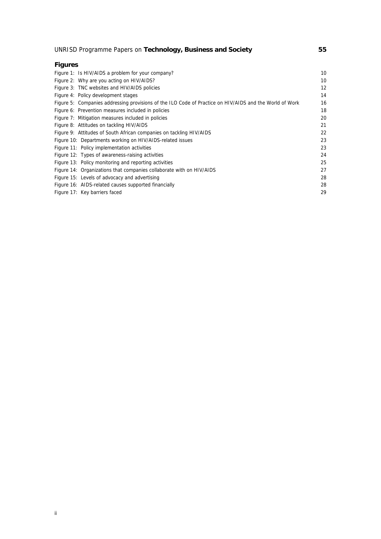### UNRISD Programme Papers on **Technology, Business and Society 55**

| <b>Figures</b>                                                                                          |    |
|---------------------------------------------------------------------------------------------------------|----|
| Figure 1: Is HIV/AIDS a problem for your company?                                                       | 10 |
| Figure 2: Why are you acting on HIV/AIDS?                                                               | 10 |
| Figure 3: TNC websites and HIV/AIDS policies                                                            | 12 |
| Figure 4: Policy development stages                                                                     | 14 |
| Figure 5: Companies addressing provisions of the ILO Code of Practice on HIV/AIDS and the World of Work | 16 |
| Figure 6: Prevention measures included in policies                                                      | 18 |
| Figure 7: Mitigation measures included in policies                                                      | 20 |
| Figure 8: Attitudes on tackling HIV/AIDS                                                                | 21 |
| Figure 9: Attitudes of South African companies on tackling HIV/AIDS                                     | 22 |
| Figure 10: Departments working on HIV/AIDS-related issues                                               | 23 |
| Figure 11: Policy implementation activities                                                             | 23 |
| Figure 12: Types of awareness-raising activities                                                        | 24 |
| Figure 13: Policy monitoring and reporting activities                                                   | 25 |
| Figure 14: Organizations that companies collaborate with on HIV/AIDS                                    | 27 |
| Figure 15: Levels of advocacy and advertising                                                           | 28 |
| Figure 16: AIDS-related causes supported financially                                                    | 28 |
| Figure 17: Key barriers faced                                                                           | 29 |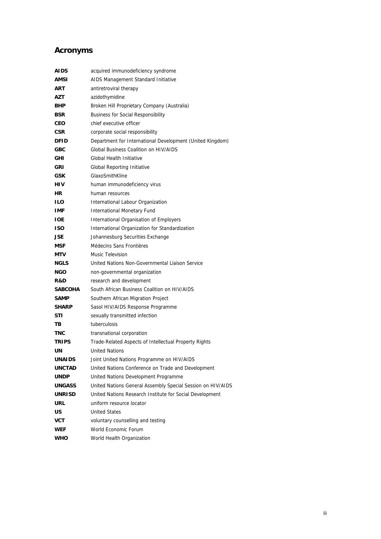### **Acronyms**

| AIDS           | acquired immunodeficiency syndrome                          |
|----------------|-------------------------------------------------------------|
| AMSI           | AIDS Management Standard Initiative                         |
| ART            | antiretroviral therapy                                      |
| AZT            | azidothymidine                                              |
| BHP            | Broken Hill Proprietary Company (Australia)                 |
| <b>BSR</b>     | <b>Business for Social Responsibility</b>                   |
| CEO            | chief executive officer                                     |
| <b>CSR</b>     | corporate social responsibility                             |
| <b>DFID</b>    | Department for International Development (United Kingdom)   |
| GBC            | <b>Global Business Coalition on HIV/AIDS</b>                |
| GHI            | Global Health Initiative                                    |
| <b>GRI</b>     | <b>Global Reporting Initiative</b>                          |
| GSK            | GlaxoSmithKline                                             |
| HIV            | human immunodeficiency virus                                |
| HR.            | human resources                                             |
| ILO            | International Labour Organization                           |
| IMF            | <b>International Monetary Fund</b>                          |
| IOE.           | International Organisation of Employers                     |
| ISO            | International Organization for Standardization              |
| JSE.           | Johannesburg Securities Exchange                            |
| <b>MSF</b>     | Médecins Sans Frontières                                    |
| MTV            | Music Television                                            |
| <b>NGLS</b>    | United Nations Non-Governmental Liaison Service             |
| <b>NGO</b>     | non-governmental organization                               |
| R&D            | research and development                                    |
| <b>SABCOHA</b> | South African Business Coalition on HIV/AIDS                |
| <b>SAMP</b>    | Southern African Migration Project                          |
| <b>SHARP</b>   | Sasol HIV/AIDS Response Programme                           |
| <b>STI</b>     | sexually transmitted infection                              |
| TВ             | tuberculosis                                                |
| TNC            | transnational corporation                                   |
| <b>TRIPS</b>   | Trade-Related Aspects of Intellectual Property Rights       |
| UN             | <b>United Nations</b>                                       |
| <b>UNAIDS</b>  | Joint United Nations Programme on HIV/AIDS                  |
| <b>UNCTAD</b>  | United Nations Conference on Trade and Development          |
| UNDP           | United Nations Development Programme                        |
| <b>UNGASS</b>  | United Nations General Assembly Special Session on HIV/AIDS |
| <b>UNRISD</b>  | United Nations Research Institute for Social Development    |
| URL            | uniform resource locator                                    |
| US             | <b>United States</b>                                        |
| <b>VCT</b>     | voluntary counselling and testing                           |
| <b>WEF</b>     | World Economic Forum                                        |
| WHO            | World Health Organization                                   |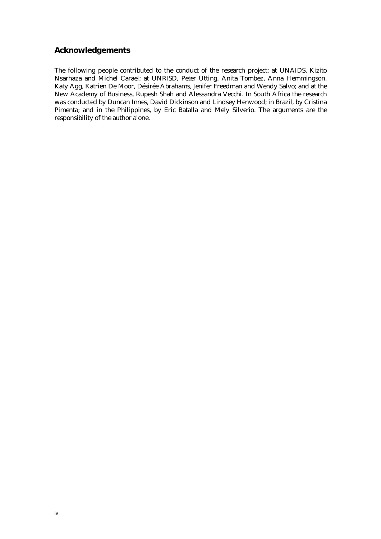#### **Acknowledgements**

The following people contributed to the conduct of the research project: at UNAIDS, Kizito Nsarhaza and Michel Carael; at UNRISD, Peter Utting, Anita Tombez, Anna Hemmingson, Katy Agg, Katrien De Moor, Désirée Abrahams, Jenifer Freedman and Wendy Salvo; and at the New Academy of Business, Rupesh Shah and Alessandra Vecchi. In South Africa the research was conducted by Duncan Innes, David Dickinson and Lindsey Henwood; in Brazil, by Cristina Pimenta; and in the Philippines, by Eric Batalla and Mely Silverio. The arguments are the responsibility of the author alone.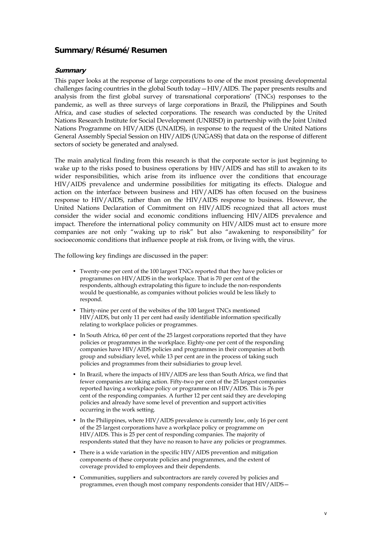#### **Summary/Résumé/Resumen**

#### **Summary**

This paper looks at the response of large corporations to one of the most pressing developmental challenges facing countries in the global South today – HIV/AIDS. The paper presents results and analysis from the first global survey of transnational corporationsí (TNCs) responses to the pandemic, as well as three surveys of large corporations in Brazil, the Philippines and South Africa, and case studies of selected corporations. The research was conducted by the United Nations Research Institute for Social Development (UNRISD) in partnership with the Joint United Nations Programme on HIV/AIDS (UNAIDS), in response to the request of the United Nations General Assembly Special Session on HIV/AIDS (UNGASS) that data on the response of different sectors of society be generated and analysed.

The main analytical finding from this research is that the corporate sector is just beginning to wake up to the risks posed to business operations by HIV/AIDS and has still to awaken to its wider responsibilities, which arise from its influence over the conditions that encourage HIV/AIDS prevalence and undermine possibilities for mitigating its effects. Dialogue and action on the interface between business and HIV/AIDS has often focused on the business response to HIV/AIDS, rather than on the HIV/AIDS response to business. However, the United Nations Declaration of Commitment on HIV/AIDS recognized that all actors must consider the wider social and economic conditions influencing HIV/AIDS prevalence and impact. Therefore the international policy community on HIV/AIDS must act to ensure more companies are not only "waking up to risk" but also "awakening to responsibility" for socioeconomic conditions that influence people at risk from, or living with, the virus.

The following key findings are discussed in the paper:

- Twenty-one per cent of the 100 largest TNCs reported that they have policies or programmes on HIV/AIDS in the workplace. That is 70 per cent of the respondents, although extrapolating this figure to include the non-respondents would be questionable, as companies without policies would be less likely to respond.
- Thirty-nine per cent of the websites of the 100 largest TNCs mentioned HIV/AIDS, but only 11 per cent had easily identifiable information specifically relating to workplace policies or programmes.
- In South Africa, 60 per cent of the 25 largest corporations reported that they have policies or programmes in the workplace. Eighty-one per cent of the responding companies have HIV/AIDS policies and programmes in their companies at both group and subsidiary level, while 13 per cent are in the process of taking such policies and programmes from their subsidiaries to group level.
- In Brazil, where the impacts of HIV/AIDS are less than South Africa, we find that fewer companies are taking action. Fifty-two per cent of the 25 largest companies reported having a workplace policy or programme on HIV/AIDS. This is 76 per cent of the responding companies. A further 12 per cent said they are developing policies and already have some level of prevention and support activities occurring in the work setting.
- In the Philippines, where HIV/AIDS prevalence is currently low, only 16 per cent of the 25 largest corporations have a workplace policy or programme on HIV/AIDS. This is 25 per cent of responding companies. The majority of respondents stated that they have no reason to have any policies or programmes.
- There is a wide variation in the specific HIV/AIDS prevention and mitigation components of these corporate policies and programmes, and the extent of coverage provided to employees and their dependents.
- ï Communities, suppliers and subcontractors are rarely covered by policies and programmes, even though most company respondents consider that  $HIV/AIDS-$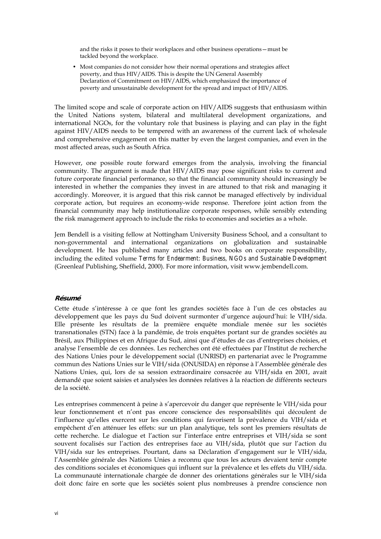and the risks it poses to their workplaces and other business operations – must be tackled beyond the workplace.

• Most companies do not consider how their normal operations and strategies affect poverty, and thus HIV/AIDS. This is despite the UN General Assembly Declaration of Commitment on HIV/AIDS, which emphasized the importance of poverty and unsustainable development for the spread and impact of HIV/AIDS.

The limited scope and scale of corporate action on HIV/AIDS suggests that enthusiasm within the United Nations system, bilateral and multilateral development organizations, and international NGOs, for the voluntary role that business is playing and can play in the fight against HIV/AIDS needs to be tempered with an awareness of the current lack of wholesale and comprehensive engagement on this matter by even the largest companies, and even in the most affected areas, such as South Africa.

However, one possible route forward emerges from the analysis, involving the financial community. The argument is made that HIV/AIDS may pose significant risks to current and future corporate financial performance, so that the financial community should increasingly be interested in whether the companies they invest in are attuned to that risk and managing it accordingly. Moreover, it is argued that this risk cannot be managed effectively by individual corporate action, but requires an economy-wide response. Therefore joint action from the financial community may help institutionalize corporate responses, while sensibly extending the risk management approach to include the risks to economies and societies as a whole.

Jem Bendell is a visiting fellow at Nottingham University Business School, and a consultant to non-governmental and international organizations on globalization and sustainable development. He has published many articles and two books on corporate responsibility, including the edited volume *Terms for Endearment: Business, NGOs and Sustainable Development* (Greenleaf Publishing, Sheffield, 2000). For more information, visit www.jembendell.com.

#### **Résumé**

Cette étude s'intéresse à ce que font les grandes sociétés face à l'un de ces obstacles au développement que les pays du Sud doivent surmonter d'urgence aujourd'hui: le VIH/sida. Elle présente les résultats de la première enquête mondiale menée sur les sociétés transnationales (STN) face à la pandémie, de trois enquêtes portant sur de grandes sociétés au Brésil, aux Philippines et en Afrique du Sud, ainsi que d'études de cas d'entreprises choisies, et analyse l'ensemble de ces données. Les recherches ont été effectuées par l'Institut de recherche des Nations Unies pour le développement social (UNRISD) en partenariat avec le Programme commun des Nations Unies sur le VIH/sida (ONUSIDA) en réponse à l'Assemblée générale des Nations Unies, qui, lors de sa session extraordinaire consacrée au VIH/sida en 2001, avait demandé que soient saisies et analysées les données relatives à la réaction de différents secteurs de la société.

Les entreprises commencent à peine à s'apercevoir du danger que représente le VIH/sida pour leur fonctionnement et n'ont pas encore conscience des responsabilités qui découlent de l'influence qu'elles exercent sur les conditions qui favorisent la prévalence du VIH/sida et empêchent d'en atténuer les effets: sur un plan analytique, tels sont les premiers résultats de cette recherche. Le dialogue et l'action sur l'interface entre entreprises et VIH/sida se sont souvent focalisés sur l'action des entreprises face au VIH/sida, plutôt que sur l'action du VIH/sida sur les entreprises. Pourtant, dans sa Déclaration d'engagement sur le VIH/sida, l'Assemblée générale des Nations Unies a reconnu que tous les acteurs devaient tenir compte des conditions sociales et économiques qui influent sur la prévalence et les effets du VIH/sida. La communauté internationale chargée de donner des orientations générales sur le VIH/sida doit donc faire en sorte que les sociétés soient plus nombreuses à prendre conscience non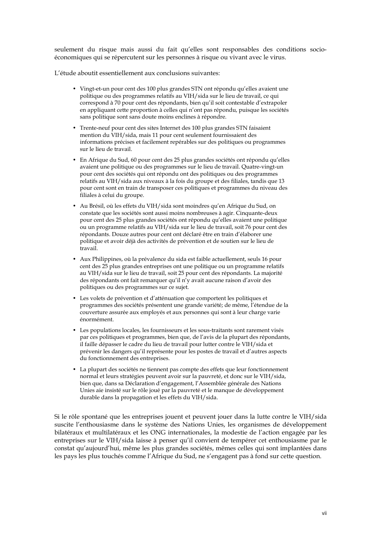seulement du risque mais aussi du fait quíelles sont responsables des conditions socio-Èconomiques qui se rÈpercutent sur les personnes ‡ risque ou vivant avec le virus.

L'étude aboutit essentiellement aux conclusions suivantes:

- Vingt-et-un pour cent des 100 plus grandes STN ont répondu qu'elles avaient une politique ou des programmes relatifs au VIH/sida sur le lieu de travail, ce qui correspond à 70 pour cent des répondants, bien qu'il soit contestable d'extrapoler en appliquant cette proportion à celles qui n'ont pas répondu, puisque les sociétés sans politique sont sans doute moins enclines à répondre.
- ï Trente-neuf pour cent des sites Internet des 100 plus grandes STN faisaient mention du VIH/sida, mais 11 pour cent seulement fournissaient des informations précises et facilement repérables sur des politiques ou programmes sur le lieu de travail.
- En Afrique du Sud, 60 pour cent des 25 plus grandes sociétés ont répondu qu'elles avaient une politique ou des programmes sur le lieu de travail. Quatre-vingt-un pour cent des sociétés qui ont répondu ont des politiques ou des programmes relatifs au VIH/sida aux niveaux à la fois du groupe et des filiales, tandis que 13 pour cent sont en train de transposer ces politiques et programmes du niveau des filiales à celui du groupe.
- Au Brésil, où les effets du VIH/sida sont moindres qu'en Afrique du Sud, on constate que les sociétés sont aussi moins nombreuses à agir. Cinquante-deux pour cent des 25 plus grandes sociétés ont répondu qu'elles avaient une politique ou un programme relatifs au VIH/sida sur le lieu de travail, soit 76 pour cent des répondants. Douze autres pour cent ont déclaré être en train d'élaborer une politique et avoir déjà des activités de prévention et de soutien sur le lieu de travail.
- Aux Philippines, où la prévalence du sida est faible actuellement, seuls 16 pour cent des 25 plus grandes entreprises ont une politique ou un programme relatifs au VIH/sida sur le lieu de travail, soit 25 pour cent des répondants. La majorité des répondants ont fait remarquer qu'il n'y avait aucune raison d'avoir des politiques ou des programmes sur ce sujet.
- Les volets de prévention et d'atténuation que comportent les politiques et programmes des sociétés présentent une grande variété; de même, l'étendue de la couverture assurée aux employés et aux personnes qui sont à leur charge varie ÈnormÈment.
- $\bullet$  Les populations locales, les fournisseurs et les sous-traitants sont rarement visés par ces politiques et programmes, bien que, de l'avis de la plupart des répondants, il faille dépasser le cadre du lieu de travail pour lutter contre le VIH/sida et prévenir les dangers qu'il représente pour les postes de travail et d'autres aspects du fonctionnement des entreprises.
- La plupart des sociétés ne tiennent pas compte des effets que leur fonctionnement normal et leurs stratégies peuvent avoir sur la pauvreté, et donc sur le VIH/sida, bien que, dans sa Déclaration d'engagement, l'Assemblée générale des Nations Unies aie insisté sur le rôle joué par la pauvreté et le manque de développement durable dans la propagation et les effets du VIH/sida.

Si le rôle spontané que les entreprises jouent et peuvent jouer dans la lutte contre le VIH/sida suscite l'enthousiasme dans le système des Nations Unies, les organismes de développement bilatéraux et multilatéraux et les ONG internationales, la modestie de l'action engagée par les entreprises sur le VIH/sida laisse à penser qu'il convient de tempérer cet enthousiasme par le constat qu'aujourd'hui, même les plus grandes sociétés, mêmes celles qui sont implantées dans les pays les plus touchés comme l'Afrique du Sud, ne s'engagent pas à fond sur cette question.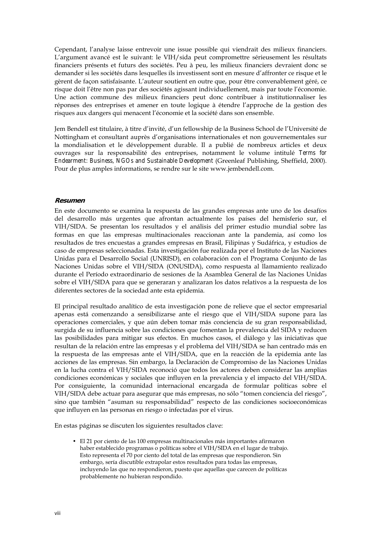Cependant, l'analyse laisse entrevoir une issue possible qui viendrait des milieux financiers. L'argument avancé est le suivant: le VIH/sida peut compromettre sérieusement les résultats financiers présents et futurs des sociétés. Peu à peu, les milieux financiers devraient donc se demander si les sociétés dans lesquelles ils investissent sont en mesure d'affronter ce risque et le gèrent de façon satisfaisante. L'auteur soutient en outre que, pour être convenablement géré, ce risque doit l'être non pas par des sociétés agissant individuellement, mais par toute l'économie. Une action commune des milieux financiers peut donc contribuer à institutionnaliser les réponses des entreprises et amener en toute logique à étendre l'approche de la gestion des risques aux dangers qui menacent l'économie et la société dans son ensemble.

Jem Bendell est titulaire, à titre d'invité, d'un fellowship de la Business School de l'Université de Nottingham et consultant auprès d'organisations internationales et non gouvernementales sur la mondialisation et le développement durable. Il a publié de nombreux articles et deux ouvrages sur la responsabilitÈ des entreprises, notamment le volume intitulÈ *Terms for Endearment: Business, NGOs and Sustainable Development* (Greenleaf Publishing, Sheffield, 2000). Pour de plus amples informations, se rendre sur le site www.jembendell.com.

#### **Resumen**

En este documento se examina la respuesta de las grandes empresas ante uno de los desafíos del desarrollo más urgentes que afrontan actualmente los países del hemisferio sur, el VIH/SIDA. Se presentan los resultados y el análisis del primer estudio mundial sobre las formas en que las empresas multinacionales reaccionan ante la pandemia, así como los resultados de tres encuestas a grandes empresas en Brasil, Filipinas y Sudáfrica, y estudios de caso de empresas seleccionadas. Esta investigación fue realizada por el Instituto de las Naciones Unidas para el Desarrollo Social (UNRISD), en colaboración con el Programa Conjunto de las Naciones Unidas sobre el VIH/SIDA (ONUSIDA), como respuesta al llamamiento realizado durante el Período extraordinario de sesiones de la Asamblea General de las Naciones Unidas sobre el VIH/SIDA para que se generaran y analizaran los datos relativos a la respuesta de los diferentes sectores de la sociedad ante esta epidemia.

El principal resultado analítico de esta investigación pone de relieve que el sector empresarial apenas está comenzando a sensibilizarse ante el riesgo que el VIH/SIDA supone para las operaciones comerciales, y que aún deben tomar más conciencia de su gran responsabilidad, surgida de su influencia sobre las condiciones que fomentan la prevalencia del SIDA y reducen las posibilidades para mitigar sus efectos. En muchos casos, el diálogo y las iniciativas que resultan de la relación entre las empresas y el problema del VIH/SIDA se han centrado más en la respuesta de las empresas ante el VIH/SIDA, que en la reacción de la epidemia ante las acciones de las empresas. Sin embargo, la Declaración de Compromiso de las Naciones Unidas en la lucha contra el VIH/SIDA reconoció que todos los actores deben considerar las amplias condiciones económicas y sociales que influyen en la prevalencia y el impacto del VIH/SIDA. Por consiguiente, la comunidad internacional encargada de formular políticas sobre el VIH/SIDA debe actuar para asegurar que más empresas, no sólo "tomen conciencia del riesgo", sino que también "asuman su responsabilidad" respecto de las condiciones socioeconómicas que influyen en las personas en riesgo o infectadas por el virus.

En estas páginas se discuten los siguientes resultados clave:

· El 21 por ciento de las 100 empresas multinacionales más importantes afirmaron haber establecido programas o políticas sobre el VIH/SIDA en el lugar de trabajo. Esto representa el 70 por ciento del total de las empresas que respondieron. Sin embargo, sería discutible extrapolar estos resultados para todas las empresas, incluyendo las que no respondieron, puesto que aquellas que carecen de políticas probablemente no hubieran respondido.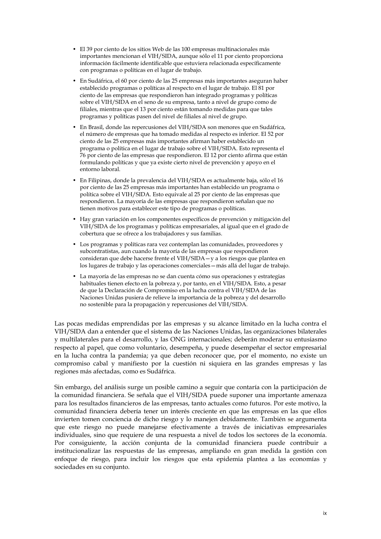- El 39 por ciento de los sitios Web de las 100 empresas multinacionales más importantes mencionan el VIH/SIDA, aunque sólo el 11 por ciento proporciona información fácilmente identificable que estuviera relacionada específicamente con programas o políticas en el lugar de trabajo.
- $\bullet$  En Sudáfrica, el 60 por ciento de las 25 empresas más importantes aseguran haber establecido programas o políticas al respecto en el lugar de trabajo. El 81 por ciento de las empresas que respondieron han integrado programas y políticas sobre el VIH/SIDA en el seno de su empresa, tanto a nivel de grupo como de filiales, mientras que el 13 por ciento están tomando medidas para que tales programas y políticas pasen del nivel de filiales al nivel de grupo.
- En Brasil, donde las repercusiones del VIH/SIDA son menores que en Sudáfrica, el número de empresas que ha tomado medidas al respecto es inferior. El 52 por ciento de las 25 empresas más importantes afirman haber establecido un programa o política en el lugar de trabajo sobre el VIH/SIDA. Esto representa el 76 por ciento de las empresas que respondieron. El 12 por ciento afirma que están formulando políticas y que ya existe cierto nivel de prevención y apoyo en el entorno laboral.
- $\bullet$  En Filipinas, donde la prevalencia del VIH/SIDA es actualmente baja, sólo el 16 por ciento de las 25 empresas más importantes han establecido un programa o política sobre el VIH/SIDA. Esto equivale al 25 por ciento de las empresas que respondieron. La mayoría de las empresas que respondieron señalan que no tienen motivos para establecer este tipo de programas o políticas.
- $\bullet$  Hay gran variación en los componentes específicos de prevención y mitigación del VIH/SIDA de los programas y políticas empresariales, al igual que en el grado de cobertura que se ofrece a los trabajadores y sus familias.
- Los programas y políticas rara vez contemplan las comunidades, proveedores y subcontratistas, aun cuando la mayoría de las empresas que respondieron consideran que debe hacerse frente el VIH/SIDA-y a los riesgos que plantea en los lugares de trabajo y las operaciones comerciales - más allá del lugar de trabajo.
- $\bullet$  La mayoría de las empresas no se dan cuenta cómo sus operaciones y estrategias habituales tienen efecto en la pobreza y, por tanto, en el VIH/SIDA. Esto, a pesar de que la Declaración de Compromiso en la lucha contra el VIH/SIDA de las Naciones Unidas pusiera de relieve la importancia de la pobreza y del desarrollo no sostenible para la propagación y repercusiones del VIH/SIDA.

Las pocas medidas emprendidas por las empresas y su alcance limitado en la lucha contra el VIH/SIDA dan a entender que el sistema de las Naciones Unidas, las organizaciones bilaterales y multilaterales para el desarrollo, y las ONG internacionales; deberán moderar su entusiasmo respecto al papel, que como voluntario, desempeña, y puede desempeñar el sector empresarial en la lucha contra la pandemia; ya que deben reconocer que, por el momento, no existe un compromiso cabal y manifiesto por la cuestión ni siquiera en las grandes empresas y las regiones más afectadas, como es Sudáfrica.

Sin embargo, del análisis surge un posible camino a seguir que contaría con la participación de la comunidad financiera. Se señala que el VIH/SIDA puede suponer una importante amenaza para los resultados financieros de las empresas, tanto actuales como futuros. Por este motivo, la comunidad financiera debería tener un interés creciente en que las empresas en las que ellos invierten tomen conciencia de dicho riesgo y lo manejen debidamente. También se argumenta que este riesgo no puede manejarse efectivamente a través de iniciativas empresariales individuales, sino que requiere de una respuesta a nivel de todos los sectores de la economía. Por consiguiente, la acción conjunta de la comunidad financiera puede contribuir a institucionalizar las respuestas de las empresas, ampliando en gran medida la gestión con enfoque de riesgo, para incluir los riesgos que esta epidemia plantea a las economías y sociedades en su conjunto.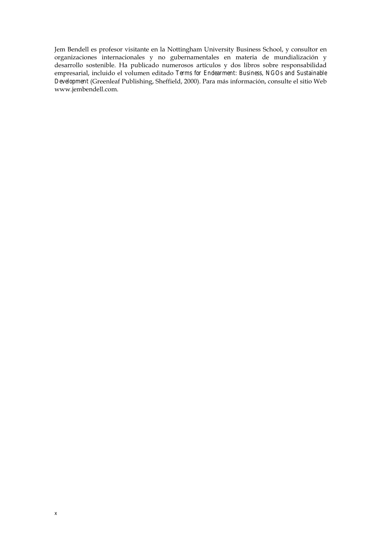Jem Bendell es profesor visitante en la Nottingham University Business School, y consultor en organizaciones internacionales y no gubernamentales en materia de mundialización y desarrollo sostenible. Ha publicado numerosos artículos y dos libros sobre responsabilidad empresarial, incluido el volumen editado *Terms for Endearment: Business, NGOs and Sustainable*  Development (Greenleaf Publishing, Sheffield, 2000). Para más información, consulte el sitio Web www.jembendell.com.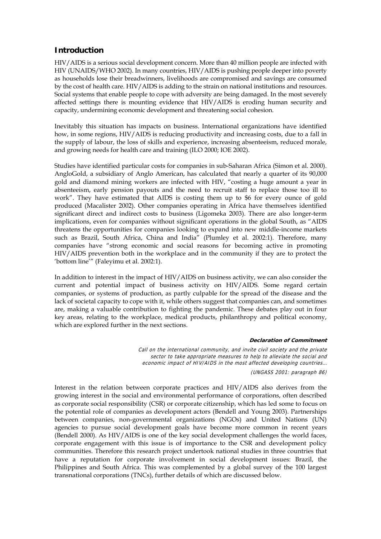#### **Introduction**

HIV/AIDS is a serious social development concern. More than 40 million people are infected with HIV (UNAIDS/WHO 2002). In many countries, HIV/AIDS is pushing people deeper into poverty as households lose their breadwinners, livelihoods are compromised and savings are consumed by the cost of health care. HIV/AIDS is adding to the strain on national institutions and resources. Social systems that enable people to cope with adversity are being damaged. In the most severely affected settings there is mounting evidence that HIV/AIDS is eroding human security and capacity, undermining economic development and threatening social cohesion.

Inevitably this situation has impacts on business. International organizations have identified how, in some regions, HIV/AIDS is reducing productivity and increasing costs, due to a fall in the supply of labour, the loss of skills and experience, increasing absenteeism, reduced morale, and growing needs for health care and training (ILO 2000; IOE 2002).

Studies have identified particular costs for companies in sub-Saharan Africa (Simon et al. 2000). AngloGold, a subsidiary of Anglo American, has calculated that nearly a quarter of its 90,000 gold and diamond mining workers are infected with HIV, "costing a huge amount a year in absenteeism, early pension payouts and the need to recruit staff to replace those too ill to workî. They have estimated that AIDS is costing them up to \$6 for every ounce of gold produced (Macalister 2002). Other companies operating in Africa have themselves identified significant direct and indirect costs to business (Ligomeka 2003). There are also longer-term implications, even for companies without significant operations in the global South, as "AIDS" threatens the opportunities for companies looking to expand into new middle-income markets such as Brazil, South Africa, China and India" (Plumley et al. 2002:1). Therefore, many companies have "strong economic and social reasons for becoming active in promoting HIV/AIDS prevention both in the workplace and in the community if they are to protect the 'bottom line'" (Faleyimu et al. 2002:1).

In addition to interest in the impact of HIV/AIDS on business activity, we can also consider the current and potential impact of business activity on HIV/AIDS. Some regard certain companies, or systems of production, as partly culpable for the spread of the disease and the lack of societal capacity to cope with it, while others suggest that companies can, and sometimes are, making a valuable contribution to fighting the pandemic. These debates play out in four key areas, relating to the workplace, medical products, philanthropy and political economy, which are explored further in the next sections.

#### **Declaration of Commitment**

Call on the international community, and invite civil society and the private sector to take appropriate measures to help to alleviate the social and economic impact of HIV/AIDS in the most affected developing countries…

(UNGASS 2001: paragraph 86)

Interest in the relation between corporate practices and HIV/AIDS also derives from the growing interest in the social and environmental performance of corporations, often described as corporate social responsibility (CSR) or corporate citizenship, which has led some to focus on the potential role of companies as development actors (Bendell and Young 2003). Partnerships between companies, non-governmental organizations (NGOs) and United Nations (UN) agencies to pursue social development goals have become more common in recent years (Bendell 2000). As HIV/AIDS is one of the key social development challenges the world faces, corporate engagement with this issue is of importance to the CSR and development policy communities. Therefore this research project undertook national studies in three countries that have a reputation for corporate involvement in social development issues: Brazil, the Philippines and South Africa. This was complemented by a global survey of the 100 largest transnational corporations (TNCs), further details of which are discussed below.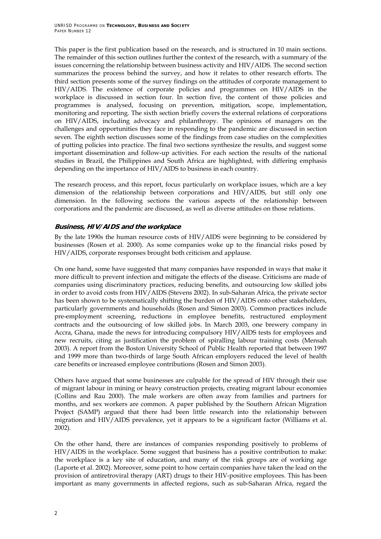This paper is the first publication based on the research, and is structured in 10 main sections. The remainder of this section outlines further the context of the research, with a summary of the issues concerning the relationship between business activity and HIV/AIDS. The second section summarizes the process behind the survey, and how it relates to other research efforts. The third section presents some of the survey findings on the attitudes of corporate management to HIV/AIDS. The existence of corporate policies and programmes on HIV/AIDS in the workplace is discussed in section four. In section five, the content of those policies and programmes is analysed, focusing on prevention, mitigation, scope, implementation, monitoring and reporting. The sixth section briefly covers the external relations of corporations on HIV/AIDS, including advocacy and philanthropy. The opinions of managers on the challenges and opportunities they face in responding to the pandemic are discussed in section seven. The eighth section discusses some of the findings from case studies on the complexities of putting policies into practice. The final two sections synthesize the results, and suggest some important dissemination and follow-up activities. For each section the results of the national studies in Brazil, the Philippines and South Africa are highlighted, with differing emphasis depending on the importance of HIV/AIDS to business in each country.

The research process, and this report, focus particularly on workplace issues, which are a key dimension of the relationship between corporations and HIV/AIDS, but still only one dimension. In the following sections the various aspects of the relationship between corporations and the pandemic are discussed, as well as diverse attitudes on those relations.

#### **Business, HIV/AIDS and the workplace**

By the late 1990s the human resource costs of HIV/AIDS were beginning to be considered by businesses (Rosen et al. 2000). As some companies woke up to the financial risks posed by HIV/AIDS, corporate responses brought both criticism and applause.

On one hand, some have suggested that many companies have responded in ways that make it more difficult to prevent infection and mitigate the effects of the disease. Criticisms are made of companies using discriminatory practices, reducing benefits, and outsourcing low skilled jobs in order to avoid costs from HIV/AIDS (Stevens 2002). In sub-Saharan Africa, the private sector has been shown to be systematically shifting the burden of HIV/AIDS onto other stakeholders, particularly governments and households (Rosen and Simon 2003). Common practices include pre-employment screening, reductions in employee benefits, restructured employment contracts and the outsourcing of low skilled jobs. In March 2003, one brewery company in Accra, Ghana, made the news for introducing compulsory HIV/AIDS tests for employees and new recruits, citing as justification the problem of spiralling labour training costs (Mensah 2003). A report from the Boston University School of Public Health reported that between 1997 and 1999 more than two-thirds of large South African employers reduced the level of health care benefits or increased employee contributions (Rosen and Simon 2003).

Others have argued that some businesses are culpable for the spread of HIV through their use of migrant labour in mining or heavy construction projects, creating migrant labour economies (Collins and Rau 2000). The male workers are often away from families and partners for months, and sex workers are common. A paper published by the Southern African Migration Project (SAMP) argued that there had been little research into the relationship between migration and HIV/AIDS prevalence, yet it appears to be a significant factor (Williams et al. 2002).

On the other hand, there are instances of companies responding positively to problems of HIV/AIDS in the workplace. Some suggest that business has a positive contribution to make: the workplace is a key site of education, and many of the risk groups are of working age (Laporte et al. 2002). Moreover, some point to how certain companies have taken the lead on the provision of antiretroviral therapy (ART) drugs to their HIV-positive employees. This has been important as many governments in affected regions, such as sub-Saharan Africa, regard the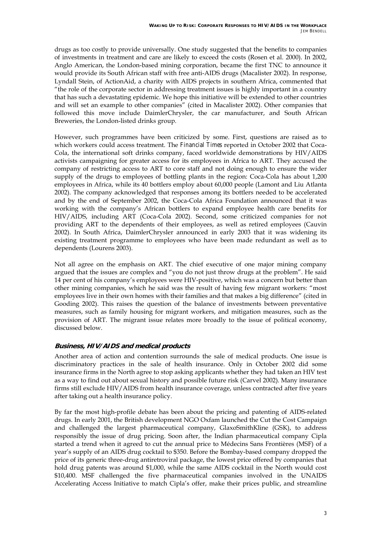drugs as too costly to provide universally. One study suggested that the benefits to companies of investments in treatment and care are likely to exceed the costs (Rosen et al. 2000). In 2002, Anglo American, the London-based mining corporation, became the first TNC to announce it would provide its South African staff with free anti-AIDS drugs (Macalister 2002). In response, Lyndall Stein, of ActionAid, a charity with AIDS projects in southern Africa, commented that "the role of the corporate sector in addressing treatment issues is highly important in a country that has such a devastating epidemic. We hope this initiative will be extended to other countries and will set an example to other companies" (cited in Macalister 2002). Other companies that followed this move include DaimlerChrysler, the car manufacturer, and South African Breweries, the London-listed drinks group.

However, such programmes have been criticized by some. First, questions are raised as to which workers could access treatment. The *Financial Times* reported in October 2002 that Coca-Cola, the international soft drinks company, faced worldwide demonstrations by HIV/AIDS activists campaigning for greater access for its employees in Africa to ART. They accused the company of restricting access to ART to core staff and not doing enough to ensure the wider supply of the drugs to employees of bottling plants in the region: Coca-Cola has about 1,200 employees in Africa, while its 40 bottlers employ about 60,000 people (Lamont and Liu Atlanta 2002). The company acknowledged that responses among its bottlers needed to be accelerated and by the end of September 2002, the Coca-Cola Africa Foundation announced that it was working with the companyís African bottlers to expand employee health care benefits for HIV/AIDS, including ART (Coca-Cola 2002). Second, some criticized companies for not providing ART to the dependents of their employees, as well as retired employees (Cauvin 2002). In South Africa, DaimlerChrysler announced in early 2003 that it was widening its existing treatment programme to employees who have been made redundant as well as to dependents (Lourens 2003).

Not all agree on the emphasis on ART. The chief executive of one major mining company argued that the issues are complex and "you do not just throw drugs at the problem". He said 14 per cent of his company's employees were HIV-positive, which was a concern but better than other mining companies, which he said was the result of having few migrant workers: "most employees live in their own homes with their families and that makes a big difference" (cited in Gooding 2002). This raises the question of the balance of investments between preventative measures, such as family housing for migrant workers, and mitigation measures, such as the provision of ART. The migrant issue relates more broadly to the issue of political economy, discussed below.

### **Business, HIV/AIDS and medical products**

Another area of action and contention surrounds the sale of medical products. One issue is discriminatory practices in the sale of health insurance. Only in October 2002 did some insurance firms in the North agree to stop asking applicants whether they had taken an HIV test as a way to find out about sexual history and possible future risk (Carvel 2002). Many insurance firms still exclude HIV/AIDS from health insurance coverage, unless contracted after five years after taking out a health insurance policy.

By far the most high-profile debate has been about the pricing and patenting of AIDS-related drugs. In early 2001, the British development NGO Oxfam launched the Cut the Cost Campaign and challenged the largest pharmaceutical company, GlaxoSmithKline (GSK), to address responsibly the issue of drug pricing. Soon after, the Indian pharmaceutical company Cipla started a trend when it agreed to cut the annual price to Médecins Sans Frontières (MSF) of a year's supply of an AIDS drug cocktail to \$350. Before the Bombay-based company dropped the price of its generic three-drug antiretroviral package, the lowest price offered by companies that hold drug patents was around \$1,000, while the same AIDS cocktail in the North would cost \$10,400. MSF challenged the five pharmaceutical companies involved in the UNAIDS Accelerating Access Initiative to match Ciplaís offer, make their prices public, and streamline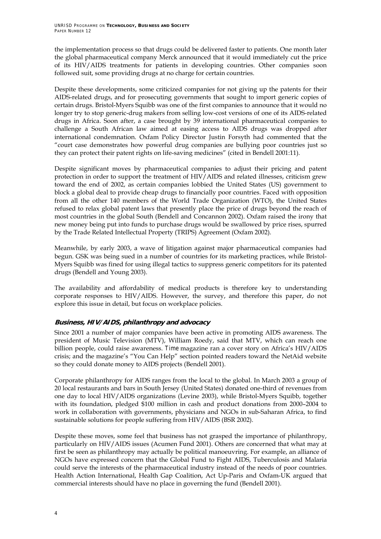the implementation process so that drugs could be delivered faster to patients. One month later the global pharmaceutical company Merck announced that it would immediately cut the price of its HIV/AIDS treatments for patients in developing countries. Other companies soon followed suit, some providing drugs at no charge for certain countries.

Despite these developments, some criticized companies for not giving up the patents for their AIDS-related drugs, and for prosecuting governments that sought to import generic copies of certain drugs. Bristol-Myers Squibb was one of the first companies to announce that it would no longer try to stop generic-drug makers from selling low-cost versions of one of its AIDS-related drugs in Africa. Soon after, a case brought by 39 international pharmaceutical companies to challenge a South African law aimed at easing access to AIDS drugs was dropped after international condemnation. Oxfam Policy Director Justin Forsyth had commented that the ìcourt case demonstrates how powerful drug companies are bullying poor countries just so they can protect their patent rights on life-saving medicines" (cited in Bendell 2001:11).

Despite significant moves by pharmaceutical companies to adjust their pricing and patent protection in order to support the treatment of HIV/AIDS and related illnesses, criticism grew toward the end of 2002, as certain companies lobbied the United States (US) government to block a global deal to provide cheap drugs to financially poor countries. Faced with opposition from all the other 140 members of the World Trade Organization (WTO), the United States refused to relax global patent laws that presently place the price of drugs beyond the reach of most countries in the global South (Bendell and Concannon 2002). Oxfam raised the irony that new money being put into funds to purchase drugs would be swallowed by price rises, spurred by the Trade Related Intellectual Property (TRIPS) Agreement (Oxfam 2002).

Meanwhile, by early 2003, a wave of litigation against major pharmaceutical companies had begun. GSK was being sued in a number of countries for its marketing practices, while Bristol-Myers Squibb was fined for using illegal tactics to suppress generic competitors for its patented drugs (Bendell and Young 2003).

The availability and affordability of medical products is therefore key to understanding corporate responses to HIV/AIDS. However, the survey, and therefore this paper, do not explore this issue in detail, but focus on workplace policies.

#### **Business, HIV/AIDS, philanthropy and advocacy**

Since 2001 a number of major companies have been active in promoting AIDS awareness. The president of Music Television (MTV), William Roedy, said that MTV, which can reach one billion people, could raise awareness. Time magazine ran a cover story on Africa's HIV/AIDS crisis; and the magazine's "You Can Help" section pointed readers toward the NetAid website so they could donate money to AIDS projects (Bendell 2001).

Corporate philanthropy for AIDS ranges from the local to the global. In March 2003 a group of 20 local restaurants and bars in South Jersey (United States) donated one-third of revenues from one day to local HIV/AIDS organizations (Levine 2003), while Bristol-Myers Squibb, together with its foundation, pledged \$100 million in cash and product donations from 2000–2004 to work in collaboration with governments, physicians and NGOs in sub-Saharan Africa, to find sustainable solutions for people suffering from HIV/AIDS (BSR 2002).

Despite these moves, some feel that business has not grasped the importance of philanthropy, particularly on HIV/AIDS issues (Acumen Fund 2001). Others are concerned that what may at first be seen as philanthropy may actually be political manoeuvring. For example, an alliance of NGOs have expressed concern that the Global Fund to Fight AIDS, Tuberculosis and Malaria could serve the interests of the pharmaceutical industry instead of the needs of poor countries. Health Action International, Health Gap Coalition, Act Up-Paris and Oxfam-UK argued that commercial interests should have no place in governing the fund (Bendell 2001).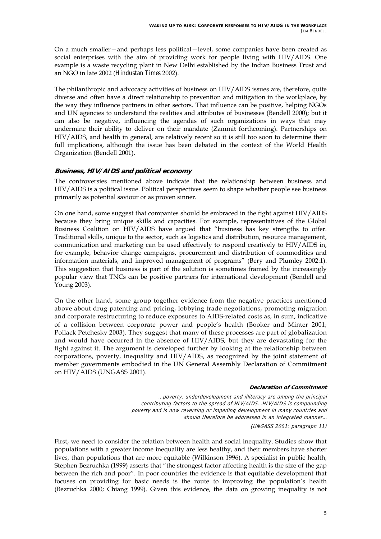On a much smaller-and perhaps less political-level, some companies have been created as social enterprises with the aim of providing work for people living with HIV/AIDS. One example is a waste recycling plant in New Delhi established by the Indian Business Trust and an NGO in late 2002 (*Hindustan Times* 2002).

The philanthropic and advocacy activities of business on HIV/AIDS issues are, therefore, quite diverse and often have a direct relationship to prevention and mitigation in the workplace, by the way they influence partners in other sectors. That influence can be positive, helping NGOs and UN agencies to understand the realities and attributes of businesses (Bendell 2000); but it can also be negative, influencing the agendas of such organizations in ways that may undermine their ability to deliver on their mandate (Zammit forthcoming). Partnerships on HIV/AIDS, and health in general, are relatively recent so it is still too soon to determine their full implications, although the issue has been debated in the context of the World Health Organization (Bendell 2001).

#### **Business, HIV/AIDS and political economy**

The controversies mentioned above indicate that the relationship between business and HIV/AIDS is a political issue. Political perspectives seem to shape whether people see business primarily as potential saviour or as proven sinner.

On one hand, some suggest that companies should be embraced in the fight against HIV/AIDS because they bring unique skills and capacities. For example, representatives of the Global Business Coalition on HIV/AIDS have argued that "business has key strengths to offer. Traditional skills, unique to the sector, such as logistics and distribution, resource management, communication and marketing can be used effectively to respond creatively to HIV/AIDS in, for example, behavior change campaigns, procurement and distribution of commodities and information materials, and improved management of programs" (Bery and Plumley 2002:1). This suggestion that business is part of the solution is sometimes framed by the increasingly popular view that TNCs can be positive partners for international development (Bendell and Young 2003).

On the other hand, some group together evidence from the negative practices mentioned above about drug patenting and pricing, lobbying trade negotiations, promoting migration and corporate restructuring to reduce exposures to AIDS-related costs as, in sum, indicative of a collision between corporate power and peopleís health (Booker and Minter 2001; Pollack Petchesky 2003). They suggest that many of these processes are part of globalization and would have occurred in the absence of HIV/AIDS, but they are devastating for the fight against it. The argument is developed further by looking at the relationship between corporations, poverty, inequality and HIV/AIDS, as recognized by the joint statement of member governments embodied in the UN General Assembly Declaration of Commitment on HIV/AIDS (UNGASS 2001).

#### **Declaration of Commitment**

…poverty, underdevelopment and illiteracy are among the principal contributing factors to the spread of HIV/AIDS…HIV/AIDS is compounding poverty and is now reversing or impeding development in many countries and should therefore be addressed in an integrated manner…

(UNGASS 2001: paragraph 11)

First, we need to consider the relation between health and social inequality. Studies show that populations with a greater income inequality are less healthy, and their members have shorter lives, than populations that are more equitable (Wilkinson 1996). A specialist in public health, Stephen Bezruchka (1999) asserts that "the strongest factor affecting health is the size of the gap between the rich and poor". In poor countries the evidence is that equitable development that focuses on providing for basic needs is the route to improving the populationís health (Bezruchka 2000; Chiang 1999). Given this evidence, the data on growing inequality is not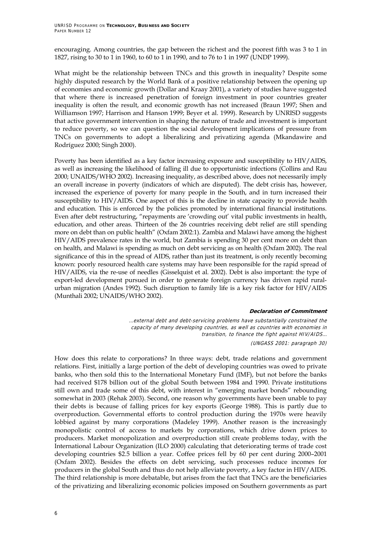encouraging. Among countries, the gap between the richest and the poorest fifth was 3 to 1 in 1827, rising to 30 to 1 in 1960, to 60 to 1 in 1990, and to 76 to 1 in 1997 (UNDP 1999).

What might be the relationship between TNCs and this growth in inequality? Despite some highly disputed research by the World Bank of a positive relationship between the opening up of economies and economic growth (Dollar and Kraay 2001), a variety of studies have suggested that where there is increased penetration of foreign investment in poor countries greater inequality is often the result, and economic growth has not increased (Braun 1997; Shen and Williamson 1997; Harrison and Hanson 1999; Beyer et al. 1999). Research by UNRISD suggests that active government intervention in shaping the nature of trade and investment is important to reduce poverty, so we can question the social development implications of pressure from TNCs on governments to adopt a liberalizing and privatizing agenda (Mkandawire and Rodríguez 2000; Singh 2000).

Poverty has been identified as a key factor increasing exposure and susceptibility to HIV/AIDS, as well as increasing the likelihood of falling ill due to opportunistic infections (Collins and Rau 2000; UNAIDS/WHO 2002). Increasing inequality, as described above, does not necessarily imply an overall increase in poverty (indicators of which are disputed). The debt crisis has, however, increased the experience of poverty for many people in the South, and in turn increased their susceptibility to HIV/AIDS. One aspect of this is the decline in state capacity to provide health and education. This is enforced by the policies promoted by international financial institutions. Even after debt restructuring, "repayments are 'crowding out' vital public investments in health, education, and other areas. Thirteen of the 26 countries receiving debt relief are still spending more on debt than on public health" (Oxfam 2002:1). Zambia and Malawi have among the highest HIV/AIDS prevalence rates in the world, but Zambia is spending 30 per cent more on debt than on health, and Malawi is spending as much on debt servicing as on health (Oxfam 2002). The real significance of this in the spread of AIDS, rather than just its treatment, is only recently becoming known: poorly resourced health care systems may have been responsible for the rapid spread of HIV/AIDS, via the re-use of needles (Gisselquist et al. 2002). Debt is also important: the type of export-led development pursued in order to generate foreign currency has driven rapid ruralurban migration (Andes 1992). Such disruption to family life is a key risk factor for HIV/AIDS (Munthali 2002; UNAIDS/WHO 2002).

#### **Declaration of Commitment**

…external debt and debt-servicing problems have substantially constrained the capacity of many developing countries, as well as countries with economies in transition, to finance the fight against HIV/AIDS… (UNGASS 2001: paragraph 30)

How does this relate to corporations? In three ways: debt, trade relations and government relations. First, initially a large portion of the debt of developing countries was owed to private banks, who then sold this to the International Monetary Fund (IMF), but not before the banks had received \$178 billion out of the global South between 1984 and 1990. Private institutions still own and trade some of this debt, with interest in "emerging market bonds" rebounding somewhat in 2003 (Rehak 2003). Second, one reason why governments have been unable to pay their debts is because of falling prices for key exports (George 1988). This is partly due to overproduction. Governmental efforts to control production during the 1970s were heavily lobbied against by many corporations (Madeley 1999). Another reason is the increasingly monopolistic control of access to markets by corporations, which drive down prices to producers. Market monopolization and overproduction still create problems today, with the International Labour Organization (ILO 2000) calculating that deteriorating terms of trade cost developing countries \$2.5 billion a year. Coffee prices fell by 60 per cent during 2000-2001 (Oxfam 2002). Besides the effects on debt servicing, such processes reduce incomes for producers in the global South and thus do not help alleviate poverty, a key factor in HIV/AIDS. The third relationship is more debatable, but arises from the fact that TNCs are the beneficiaries of the privatizing and liberalizing economic policies imposed on Southern governments as part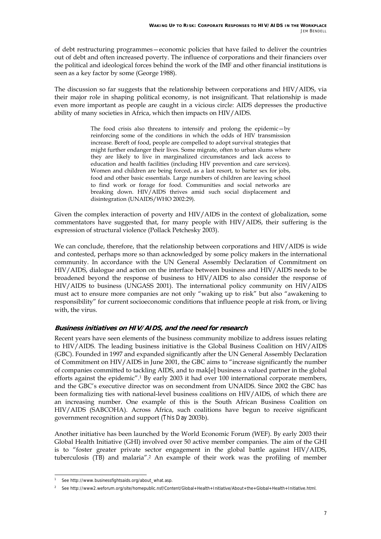of debt restructuring programmes – economic policies that have failed to deliver the countries out of debt and often increased poverty. The influence of corporations and their financiers over the political and ideological forces behind the work of the IMF and other financial institutions is seen as a key factor by some (George 1988).

The discussion so far suggests that the relationship between corporations and HIV/AIDS, via their major role in shaping political economy, is not insignificant. That relationship is made even more important as people are caught in a vicious circle: AIDS depresses the productive ability of many societies in Africa, which then impacts on HIV/AIDS.

> The food crisis also threatens to intensify and prolong the epidemic $-$ by reinforcing some of the conditions in which the odds of HIV transmission increase. Bereft of food, people are compelled to adopt survival strategies that might further endanger their lives. Some migrate, often to urban slums where they are likely to live in marginalized circumstances and lack access to education and health facilities (including HIV prevention and care services). Women and children are being forced, as a last resort, to barter sex for jobs, food and other basic essentials. Large numbers of children are leaving school to find work or forage for food. Communities and social networks are breaking down. HIV/AIDS thrives amid such social displacement and disintegration (UNAIDS/WHO 2002:29).

Given the complex interaction of poverty and HIV/AIDS in the context of globalization, some commentators have suggested that, for many people with HIV/AIDS, their suffering is the expression of structural violence (Pollack Petchesky 2003).

We can conclude, therefore, that the relationship between corporations and HIV/AIDS is wide and contested, perhaps more so than acknowledged by some policy makers in the international community. In accordance with the UN General Assembly Declaration of Commitment on HIV/AIDS, dialogue and action on the interface between business and HIV/AIDS needs to be broadened beyond the response of business to HIV/AIDS to also consider the response of HIV/AIDS to business (UNGASS 2001). The international policy community on HIV/AIDS must act to ensure more companies are not only "waking up to risk" but also "awakening to responsibility" for current socioeconomic conditions that influence people at risk from, or living with, the virus.

#### **Business initiatives on HIV/AIDS, and the need for research**

Recent years have seen elements of the business community mobilize to address issues relating to HIV/AIDS. The leading business initiative is the Global Business Coalition on HIV/AIDS (GBC). Founded in 1997 and expanded significantly after the UN General Assembly Declaration of Commitment on HIV/AIDS in June 2001, the GBC aims to "increase significantly the number of companies committed to tackling AIDS, and to mak[e] business a valued partner in the global efforts against the epidemic<sup>"</sup>.<sup>1</sup> By early 2003 it had over 100 international corporate members, and the GBC's executive director was on secondment from UNAIDS. Since 2002 the GBC has been formalizing ties with national-level business coalitions on HIV/AIDS, of which there are an increasing number. One example of this is the South African Business Coalition on HIV/AIDS (SABCOHA). Across Africa, such coalitions have begun to receive significant government recognition and support (*This Day* 2003b).

Another initiative has been launched by the World Economic Forum (WEF). By early 2003 their Global Health Initiative (GHI) involved over 50 active member companies. The aim of the GHI is to "foster greater private sector engagement in the global battle against HIV/AIDS, tuberculosis (TB) and malariaî.2 An example of their work was the profiling of member

ī

<sup>&</sup>lt;sup>1</sup> See http://www.businessfightsaids.org/about\_what.asp.

<sup>&</sup>lt;sup>2</sup> See http://www2.weforum.org/site/homepublic.nsf/Content/Global+Health+Initiative/About+the+Global+Health+Initiative.html.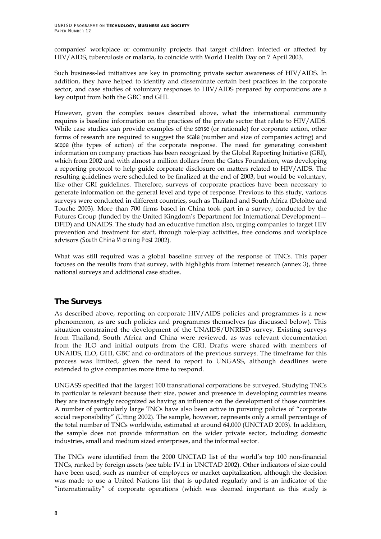companies' workplace or community projects that target children infected or affected by HIV/AIDS, tuberculosis or malaria, to coincide with World Health Day on 7 April 2003.

Such business-led initiatives are key in promoting private sector awareness of HIV/AIDS. In addition, they have helped to identify and disseminate certain best practices in the corporate sector, and case studies of voluntary responses to HIV/AIDS prepared by corporations are a key output from both the GBC and GHI.

However, given the complex issues described above, what the international community requires is baseline information on the practices of the private sector that relate to HIV/AIDS. While case studies can provide examples of the *sense* (or rationale) for corporate action, other forms of research are required to suggest the *scale* (number and size of companies acting) and *scope* (the types of action) of the corporate response. The need for generating consistent information on company practices has been recognized by the Global Reporting Initiative (GRI), which from 2002 and with almost a million dollars from the Gates Foundation, was developing a reporting protocol to help guide corporate disclosure on matters related to HIV/AIDS. The resulting guidelines were scheduled to be finalized at the end of 2003, but would be voluntary, like other GRI guidelines. Therefore, surveys of corporate practices have been necessary to generate information on the general level and type of response. Previous to this study, various surveys were conducted in different countries, such as Thailand and South Africa (Deloitte and Touche 2003). More than 700 firms based in China took part in a survey, conducted by the Futures Group (funded by the United Kingdom's Department for International Development -DFID) and UNAIDS. The study had an educative function also, urging companies to target HIV prevention and treatment for staff, through role-play activities, free condoms and workplace advisors (*South China Morning Post* 2002).

What was still required was a global baseline survey of the response of TNCs. This paper focuses on the results from that survey, with highlights from Internet research (annex 3), three national surveys and additional case studies.

### **The Surveys**

As described above, reporting on corporate HIV/AIDS policies and programmes is a new phenomenon, as are such policies and programmes themselves (as discussed below). This situation constrained the development of the UNAIDS/UNRISD survey. Existing surveys from Thailand, South Africa and China were reviewed, as was relevant documentation from the ILO and initial outputs from the GRI. Drafts were shared with members of UNAIDS, ILO, GHI, GBC and co-ordinators of the previous surveys. The timeframe for this process was limited, given the need to report to UNGASS, although deadlines were extended to give companies more time to respond.

UNGASS specified that the largest 100 transnational corporations be surveyed. Studying TNCs in particular is relevant because their size, power and presence in developing countries means they are increasingly recognized as having an influence on the development of those countries. A number of particularly large TNCs have also been active in pursuing policies of "corporate social responsibility" (Utting 2002). The sample, however, represents only a small percentage of the total number of TNCs worldwide, estimated at around 64,000 (UNCTAD 2003). In addition, the sample does not provide information on the wider private sector, including domestic industries, small and medium sized enterprises, and the informal sector.

The TNCs were identified from the 2000 UNCTAD list of the world's top 100 non-financial TNCs, ranked by foreign assets (see table IV.1 in UNCTAD 2002). Other indicators of size could have been used, such as number of employees or market capitalization, although the decision was made to use a United Nations list that is updated regularly and is an indicator of the "internationality" of corporate operations (which was deemed important as this study is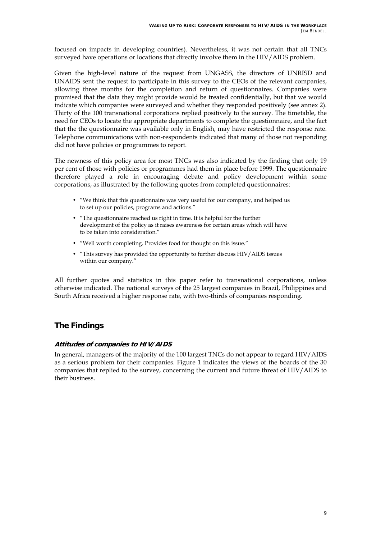focused on impacts in developing countries). Nevertheless, it was not certain that all TNCs surveyed have operations or locations that directly involve them in the HIV/AIDS problem.

Given the high-level nature of the request from UNGASS, the directors of UNRISD and UNAIDS sent the request to participate in this survey to the CEOs of the relevant companies, allowing three months for the completion and return of questionnaires. Companies were promised that the data they might provide would be treated confidentially, but that we would indicate which companies were surveyed and whether they responded positively (see annex 2). Thirty of the 100 transnational corporations replied positively to the survey. The timetable, the need for CEOs to locate the appropriate departments to complete the questionnaire, and the fact that the the questionnaire was available only in English, may have restricted the response rate. Telephone communications with non-respondents indicated that many of those not responding did not have policies or programmes to report.

The newness of this policy area for most TNCs was also indicated by the finding that only 19 per cent of those with policies or programmes had them in place before 1999. The questionnaire therefore played a role in encouraging debate and policy development within some corporations, as illustrated by the following quotes from completed questionnaires:

- "We think that this questionnaire was very useful for our company, and helped us to set up our policies, programs and actions."
- "The questionnaire reached us right in time. It is helpful for the further development of the policy as it raises awareness for certain areas which will have to be taken into consideration."
- "Well worth completing. Provides food for thought on this issue."
- "This survey has provided the opportunity to further discuss HIV/AIDS issues within our company."

All further quotes and statistics in this paper refer to transnational corporations, unless otherwise indicated. The national surveys of the 25 largest companies in Brazil, Philippines and South Africa received a higher response rate, with two-thirds of companies responding.

### **The Findings**

#### **Attitudes of companies to HIV/AIDS**

In general, managers of the majority of the 100 largest TNCs do not appear to regard HIV/AIDS as a serious problem for their companies. Figure 1 indicates the views of the boards of the 30 companies that replied to the survey, concerning the current and future threat of HIV/AIDS to their business.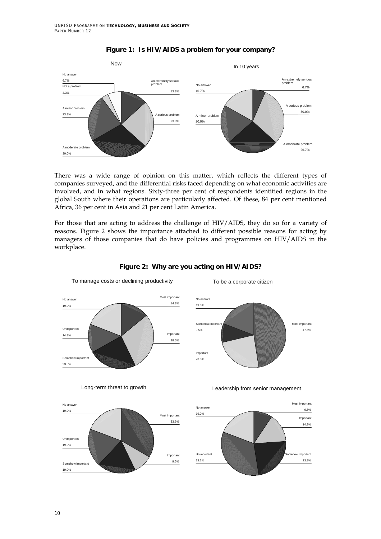

#### **Figure 1: Is HIV/AIDS a problem for your company?**

There was a wide range of opinion on this matter, which reflects the different types of companies surveyed, and the differential risks faced depending on what economic activities are involved, and in what regions. Sixty-three per cent of respondents identified regions in the global South where their operations are particularly affected. Of these, 84 per cent mentioned Africa, 36 per cent in Asia and 21 per cent Latin America.

For those that are acting to address the challenge of HIV/AIDS, they do so for a variety of reasons. Figure 2 shows the importance attached to different possible reasons for acting by managers of those companies that do have policies and programmes on HIV/AIDS in the workplace.



To manage costs or declining productivity

#### **Figure 2: Why are you acting on HIV/AIDS?**

To be a corporate citizen



Long-term threat to growth





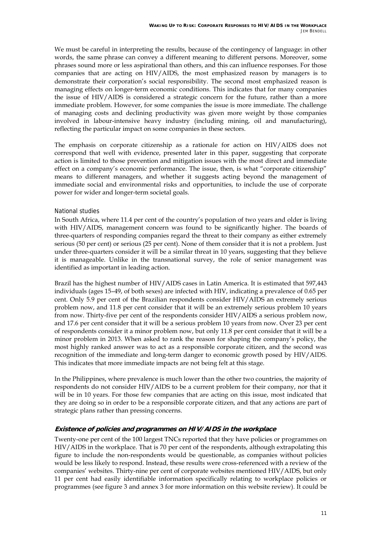We must be careful in interpreting the results, because of the contingency of language: in other words, the same phrase can convey a different meaning to different persons. Moreover, some phrases sound more or less aspirational than others, and this can influence responses. For those companies that are acting on HIV/AIDS, the most emphasized reason by managers is to demonstrate their corporationís social responsibility. The second most emphasized reason is managing effects on longer-term economic conditions. This indicates that for many companies the issue of HIV/AIDS is considered a strategic concern for the future, rather than a more immediate problem. However, for some companies the issue is more immediate. The challenge of managing costs and declining productivity was given more weight by those companies involved in labour-intensive heavy industry (including mining, oil and manufacturing), reflecting the particular impact on some companies in these sectors.

The emphasis on corporate citizenship as a rationale for action on HIV/AIDS does not correspond that well with evidence, presented later in this paper, suggesting that corporate action is limited to those prevention and mitigation issues with the most direct and immediate effect on a company's economic performance. The issue, then, is what "corporate citizenship" means to different managers, and whether it suggests acting beyond the management of immediate social and environmental risks and opportunities, to include the use of corporate power for wider and longer-term societal goals.

#### National studies

In South Africa, where 11.4 per cent of the country's population of two years and older is living with HIV/AIDS, management concern was found to be significantly higher. The boards of three-quarters of responding companies regard the threat to their company as either extremely serious (50 per cent) or serious (25 per cent). None of them consider that it is not a problem. Just under three-quarters consider it will be a similar threat in 10 years, suggesting that they believe it is manageable. Unlike in the transnational survey, the role of senior management was identified as important in leading action.

Brazil has the highest number of HIV/AIDS cases in Latin America. It is estimated that 597,443 individuals (ages 15-49, of both sexes) are infected with HIV, indicating a prevalence of 0.65 per cent. Only 5.9 per cent of the Brazilian respondents consider HIV/AIDS an extremely serious problem now, and 11.8 per cent consider that it will be an extremely serious problem 10 years from now. Thirty-five per cent of the respondents consider HIV/AIDS a serious problem now, and 17.6 per cent consider that it will be a serious problem 10 years from now. Over 23 per cent of respondents consider it a minor problem now, but only 11.8 per cent consider that it will be a minor problem in 2013. When asked to rank the reason for shaping the company's policy, the most highly ranked answer was to act as a responsible corporate citizen, and the second was recognition of the immediate and long-term danger to economic growth posed by HIV/AIDS. This indicates that more immediate impacts are not being felt at this stage.

In the Philippines, where prevalence is much lower than the other two countries, the majority of respondents do not consider HIV/AIDS to be a current problem for their company, nor that it will be in 10 years. For those few companies that are acting on this issue, most indicated that they are doing so in order to be a responsible corporate citizen, and that any actions are part of strategic plans rather than pressing concerns.

#### **Existence of policies and programmes on HIV/AIDS in the workplace**

Twenty-one per cent of the 100 largest TNCs reported that they have policies or programmes on HIV/AIDS in the workplace. That is 70 per cent of the respondents, although extrapolating this figure to include the non-respondents would be questionable, as companies without policies would be less likely to respond. Instead, these results were cross-referenced with a review of the companiesí websites. Thirty-nine per cent of corporate websites mentioned HIV/AIDS, but only 11 per cent had easily identifiable information specifically relating to workplace policies or programmes (see figure 3 and annex 3 for more information on this website review). It could be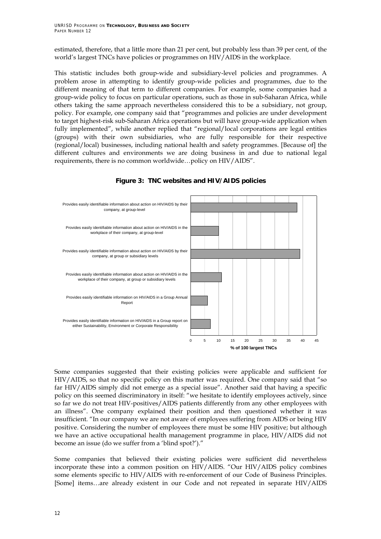estimated, therefore, that a little more than 21 per cent, but probably less than 39 per cent, of the world's largest TNCs have policies or programmes on HIV/AIDS in the workplace.

This statistic includes both group-wide and subsidiary-level policies and programmes. A problem arose in attempting to identify group-wide policies and programmes, due to the different meaning of that term to different companies. For example, some companies had a group-wide policy to focus on particular operations, such as those in sub-Saharan Africa, while others taking the same approach nevertheless considered this to be a subsidiary, not group, policy. For example, one company said that "programmes and policies are under development to target highest-risk sub-Saharan Africa operations but will have group-wide application when fully implemented", while another replied that "regional/local corporations are legal entities (groups) with their own subsidiaries, who are fully responsible for their respective (regional/local) businesses, including national health and safety programmes. [Because of] the different cultures and environments we are doing business in and due to national legal requirements, there is no common worldwide...policy on HIV/AIDS".



**Figure 3: TNC websites and HIV/AIDS policies** 

Some companies suggested that their existing policies were applicable and sufficient for HIV/AIDS, so that no specific policy on this matter was required. One company said that "so far HIV/AIDS simply did not emerge as a special issue". Another said that having a specific policy on this seemed discriminatory in itself: "we hesitate to identify employees actively, since so far we do not treat HIV-positives/AIDS patients differently from any other employees with an illness". One company explained their position and then questioned whether it was insufficient. "In our company we are not aware of employees suffering from AIDS or being HIV positive. Considering the number of employees there must be some HIV positive; but although we have an active occupational health management programme in place, HIV/AIDS did not become an issue (do we suffer from a 'blind spot?')."

Some companies that believed their existing policies were sufficient did nevertheless incorporate these into a common position on HIV/AIDS. "Our HIV/AIDS policy combines some elements specific to HIV/AIDS with re-enforcement of our Code of Business Principles. [Some] items...are already existent in our Code and not repeated in separate HIV/AIDS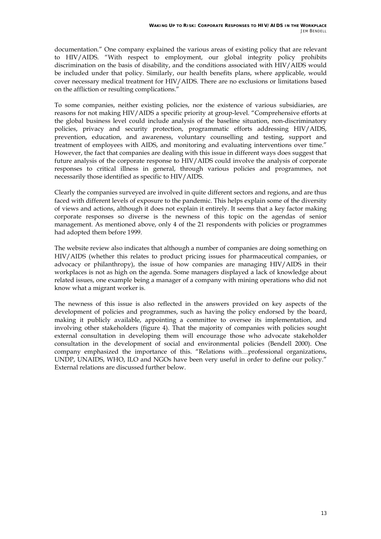documentation." One company explained the various areas of existing policy that are relevant to HIV/AIDS. "With respect to employment, our global integrity policy prohibits discrimination on the basis of disability, and the conditions associated with HIV/AIDS would be included under that policy. Similarly, our health benefits plans, where applicable, would cover necessary medical treatment for HIV/AIDS. There are no exclusions or limitations based on the affliction or resulting complications.<sup>"</sup>

To some companies, neither existing policies, nor the existence of various subsidiaries, are reasons for not making HIV/AIDS a specific priority at group-level. "Comprehensive efforts at the global business level could include analysis of the baseline situation, non-discriminatory policies, privacy and security protection, programmatic efforts addressing HIV/AIDS, prevention, education, and awareness, voluntary counselling and testing, support and treatment of employees with AIDS, and monitoring and evaluating interventions over time.<sup>"</sup> However, the fact that companies are dealing with this issue in different ways does suggest that future analysis of the corporate response to HIV/AIDS could involve the analysis of corporate responses to critical illness in general, through various policies and programmes, not necessarily those identified as specific to HIV/AIDS.

Clearly the companies surveyed are involved in quite different sectors and regions, and are thus faced with different levels of exposure to the pandemic. This helps explain some of the diversity of views and actions, although it does not explain it entirely. It seems that a key factor making corporate responses so diverse is the newness of this topic on the agendas of senior management. As mentioned above, only 4 of the 21 respondents with policies or programmes had adopted them before 1999.

The website review also indicates that although a number of companies are doing something on HIV/AIDS (whether this relates to product pricing issues for pharmaceutical companies, or advocacy or philanthropy), the issue of how companies are managing HIV/AIDS in their workplaces is not as high on the agenda. Some managers displayed a lack of knowledge about related issues, one example being a manager of a company with mining operations who did not know what a migrant worker is.

The newness of this issue is also reflected in the answers provided on key aspects of the development of policies and programmes, such as having the policy endorsed by the board, making it publicly available, appointing a committee to oversee its implementation, and involving other stakeholders (figure 4). That the majority of companies with policies sought external consultation in developing them will encourage those who advocate stakeholder consultation in the development of social and environmental policies (Bendell 2000). One company emphasized the importance of this. "Relations with...professional organizations, UNDP, UNAIDS, WHO, ILO and NGOs have been very useful in order to define our policy." External relations are discussed further below.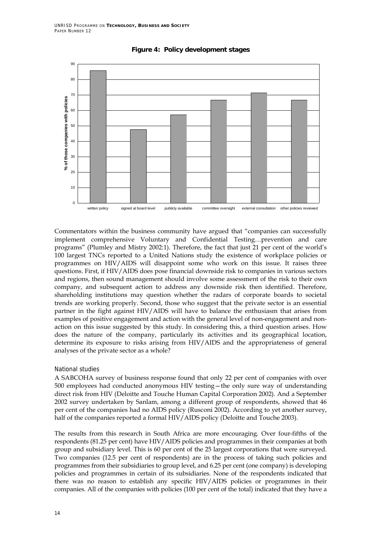

#### **Figure 4: Policy development stages**

Commentators within the business community have argued that "companies can successfully implement comprehensive Voluntary and Confidential Testing...prevention and care programs" (Plumley and Mistry 2002:1). Therefore, the fact that just 21 per cent of the world's 100 largest TNCs reported to a United Nations study the existence of workplace policies or programmes on HIV/AIDS will disappoint some who work on this issue. It raises three questions. First, if HIV/AIDS does pose financial downside risk to companies in various sectors and regions, then sound management should involve some assessment of the risk to their own company, and subsequent action to address any downside risk then identified. Therefore, shareholding institutions may question whether the radars of corporate boards to societal trends are working properly. Second, those who suggest that the private sector is an essential partner in the fight against HIV/AIDS will have to balance the enthusiasm that arises from examples of positive engagement and action with the general level of non-engagement and nonaction on this issue suggested by this study. In considering this, a third question arises. How does the nature of the company, particularly its activities and its geographical location, determine its exposure to risks arising from HIV/AIDS and the appropriateness of general analyses of the private sector as a whole?

#### National studies

A SABCOHA survey of business response found that only 22 per cent of companies with over 500 employees had conducted anonymous HIV testing—the only sure way of understanding direct risk from HIV (Deloitte and Touche Human Capital Corporation 2002). And a September 2002 survey undertaken by Sanlam, among a different group of respondents, showed that 46 per cent of the companies had no AIDS policy (Rusconi 2002). According to yet another survey, half of the companies reported a formal HIV/AIDS policy (Deloitte and Touche 2003).

The results from this research in South Africa are more encouraging. Over four-fifths of the respondents (81.25 per cent) have HIV/AIDS policies and programmes in their companies at both group and subsidiary level. This is 60 per cent of the 25 largest corporations that were surveyed. Two companies (12.5 per cent of respondents) are in the process of taking such policies and programmes from their subsidiaries to group level, and 6.25 per cent (one company) is developing policies and programmes in certain of its subsidiaries. None of the respondents indicated that there was no reason to establish any specific HIV/AIDS policies or programmes in their companies. All of the companies with policies (100 per cent of the total) indicated that they have a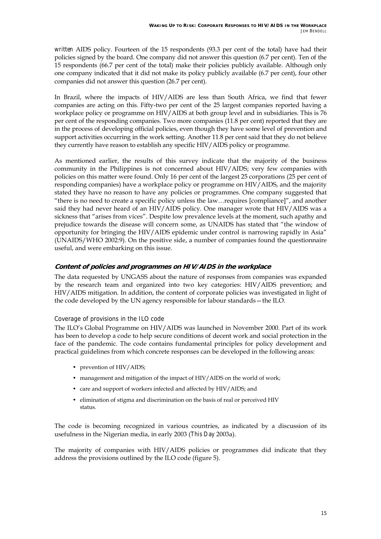*written* AIDS policy. Fourteen of the 15 respondents (93.3 per cent of the total) have had their policies signed by the board. One company did not answer this question (6.7 per cent). Ten of the 15 respondents (66.7 per cent of the total) make their policies publicly available. Although only one company indicated that it did not make its policy publicly available (6.7 per cent), four other companies did not answer this question (26.7 per cent).

In Brazil, where the impacts of HIV/AIDS are less than South Africa, we find that fewer companies are acting on this. Fifty-two per cent of the 25 largest companies reported having a workplace policy or programme on HIV/AIDS at both group level and in subsidiaries. This is 76 per cent of the responding companies. Two more companies (11.8 per cent) reported that they are in the process of developing official policies, even though they have some level of prevention and support activities occurring in the work setting. Another 11.8 per cent said that they do not believe they currently have reason to establish any specific HIV/AIDS policy or programme.

As mentioned earlier, the results of this survey indicate that the majority of the business community in the Philippines is not concerned about HIV/AIDS; very few companies with policies on this matter were found. Only 16 per cent of the largest 25 corporations (25 per cent of responding companies) have a workplace policy or programme on HIV/AIDS, and the majority stated they have no reason to have any policies or programmes. One company suggested that "there is no need to create a specific policy unless the law... requires [compliance]", and another said they had never heard of an HIV/AIDS policy. One manager wrote that HIV/AIDS was a sickness that "arises from vices". Despite low prevalence levels at the moment, such apathy and prejudice towards the disease will concern some, as UNAIDS has stated that "the window of opportunity for bringing the HIV/AIDS epidemic under control is narrowing rapidly in Asiaî (UNAIDS/WHO 2002:9). On the positive side, a number of companies found the questionnaire useful, and were embarking on this issue.

#### **Content of policies and programmes on HIV/AIDS in the workplace**

The data requested by UNGASS about the nature of responses from companies was expanded by the research team and organized into two key categories: HIV/AIDS prevention; and HIV/AIDS mitigation. In addition, the content of corporate policies was investigated in light of the code developed by the UN agency responsible for labour standards - the ILO.

#### Coverage of provisions in the ILO code

The ILO's Global Programme on HIV/AIDS was launched in November 2000. Part of its work has been to develop a code to help secure conditions of decent work and social protection in the face of the pandemic. The code contains fundamental principles for policy development and practical guidelines from which concrete responses can be developed in the following areas:

- prevention of HIV/AIDS;
- management and mitigation of the impact of HIV/AIDS on the world of work;
- care and support of workers infected and affected by HIV/AIDS; and
- elimination of stigma and discrimination on the basis of real or perceived HIV status.

The code is becoming recognized in various countries, as indicated by a discussion of its usefulness in the Nigerian media, in early 2003 (*This Day* 2003a).

The majority of companies with HIV/AIDS policies or programmes did indicate that they address the provisions outlined by the ILO code (figure 5).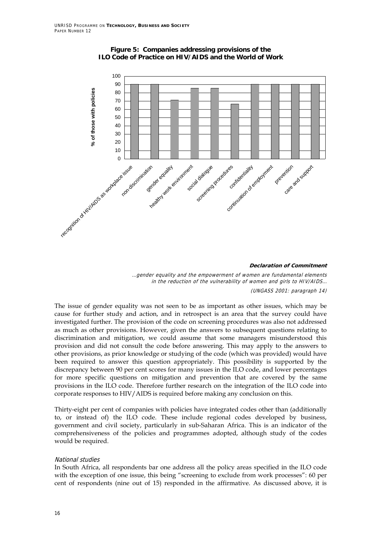

#### **Figure 5: Companies addressing provisions of the ILO Code of Practice on HIV/AIDS and the World of Work**

#### **Declaration of Commitment**

…gender equality and the empowerment of women are fundamental elements in the reduction of the vulnerability of women and girls to HIV/AIDS… (UNGASS 2001: paragraph 14)

The issue of gender equality was not seen to be as important as other issues, which may be cause for further study and action, and in retrospect is an area that the survey could have investigated further. The provision of the code on screening procedures was also not addressed as much as other provisions. However, given the answers to subsequent questions relating to discrimination and mitigation, we could assume that some managers misunderstood this provision and did not consult the code before answering. This may apply to the answers to other provisions, as prior knowledge or studying of the code (which was provided) would have been required to answer this question appropriately. This possibility is supported by the discrepancy between 90 per cent scores for many issues in the ILO code, and lower percentages for more specific questions on mitigation and prevention that are covered by the same provisions in the ILO code. Therefore further research on the integration of the ILO code into corporate responses to HIV/AIDS is required before making any conclusion on this.

Thirty-eight per cent of companies with policies have integrated codes other than (additionally to, or instead of) the ILO code. These include regional codes developed by business, government and civil society, particularly in sub-Saharan Africa. This is an indicator of the comprehensiveness of the policies and programmes adopted, although study of the codes would be required.

#### National studies

In South Africa, all respondents bar one address all the policy areas specified in the ILO code with the exception of one issue, this being "screening to exclude from work processes": 60 per cent of respondents (nine out of 15) responded in the affirmative. As discussed above, it is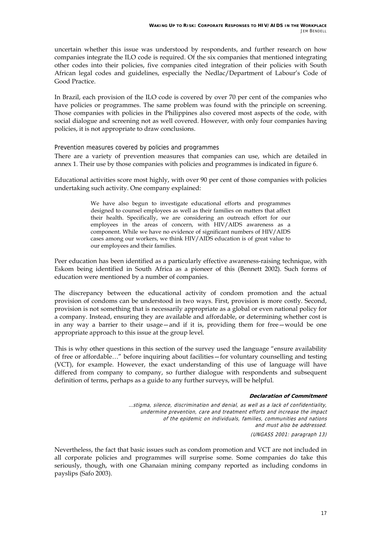uncertain whether this issue was understood by respondents, and further research on how companies integrate the ILO code is required. Of the six companies that mentioned integrating other codes into their policies, five companies cited integration of their policies with South African legal codes and guidelines, especially the Nedlac/Department of Labour's Code of Good Practice.

In Brazil, each provision of the ILO code is covered by over 70 per cent of the companies who have policies or programmes. The same problem was found with the principle on screening. Those companies with policies in the Philippines also covered most aspects of the code, with social dialogue and screening not as well covered. However, with only four companies having policies, it is not appropriate to draw conclusions.

Prevention measures covered by policies and programmes

There are a variety of prevention measures that companies can use, which are detailed in annex 1. Their use by those companies with policies and programmes is indicated in figure 6.

Educational activities score most highly, with over 90 per cent of those companies with policies undertaking such activity. One company explained:

> We have also begun to investigate educational efforts and programmes designed to counsel employees as well as their families on matters that affect their health. Specifically, we are considering an outreach effort for our employees in the areas of concern, with HIV/AIDS awareness as a component. While we have no evidence of significant numbers of HIV/AIDS cases among our workers, we think HIV/AIDS education is of great value to our employees and their families.

Peer education has been identified as a particularly effective awareness-raising technique, with Eskom being identified in South Africa as a pioneer of this (Bennett 2002). Such forms of education were mentioned by a number of companies.

The discrepancy between the educational activity of condom promotion and the actual provision of condoms can be understood in two ways. First, provision is more costly. Second, provision is not something that is necessarily appropriate as a global or even national policy for a company. Instead, ensuring they are available and affordable, or determining whether cost is in any way a barrier to their usage-and if it is, providing them for free-would be one appropriate approach to this issue at the group level.

This is why other questions in this section of the survey used the language "ensure availability" of free or affordable..." before inquiring about facilities - for voluntary counselling and testing (VCT), for example. However, the exact understanding of this use of language will have differed from company to company, so further dialogue with respondents and subsequent definition of terms, perhaps as a guide to any further surveys, will be helpful.

#### **Declaration of Commitment**

…stigma, silence, discrimination and denial, as well as a lack of confidentiality, undermine prevention, care and treatment efforts and increase the impact of the epidemic on individuals, families, communities and nations and must also be addressed. (UNGASS 2001: paragraph 13)

Nevertheless, the fact that basic issues such as condom promotion and VCT are not included in all corporate policies and programmes will surprise some. Some companies do take this seriously, though, with one Ghanaian mining company reported as including condoms in payslips (Safo 2003).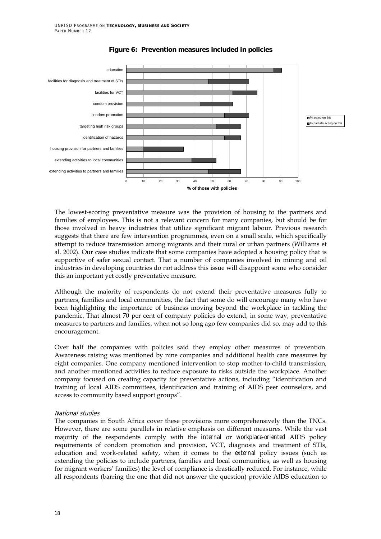

#### **Figure 6: Prevention measures included in policies**

The lowest-scoring preventative measure was the provision of housing to the partners and families of employees. This is not a relevant concern for many companies, but should be for those involved in heavy industries that utilize significant migrant labour. Previous research suggests that there are few intervention programmes, even on a small scale, which specifically attempt to reduce transmission among migrants and their rural or urban partners (Williams et al. 2002). Our case studies indicate that some companies have adopted a housing policy that is supportive of safer sexual contact. That a number of companies involved in mining and oil industries in developing countries do not address this issue will disappoint some who consider this an important yet costly preventative measure.

Although the majority of respondents do not extend their preventative measures fully to partners, families and local communities, the fact that some do will encourage many who have been highlighting the importance of business moving beyond the workplace in tackling the pandemic. That almost 70 per cent of company policies do extend, in some way, preventative measures to partners and families, when not so long ago few companies did so, may add to this encouragement.

Over half the companies with policies said they employ other measures of prevention. Awareness raising was mentioned by nine companies and additional health care measures by eight companies. One company mentioned intervention to stop mother-to-child transmission, and another mentioned activities to reduce exposure to risks outside the workplace. Another company focused on creating capacity for preventative actions, including "identification and training of local AIDS committees, identification and training of AIDS peer counselors, and access to community based support groups".

#### National studies

The companies in South Africa cover these provisions more comprehensively than the TNCs. However, there are some parallels in relative emphasis on different measures. While the vast majority of the respondents comply with the *internal* or *workplace-oriented* AIDS policy requirements of condom promotion and provision, VCT, diagnosis and treatment of STIs, education and work-related safety, when it comes to the *external* policy issues (such as extending the policies to include partners, families and local communities, as well as housing for migrant workers' families) the level of compliance is drastically reduced. For instance, while all respondents (barring the one that did not answer the question) provide AIDS education to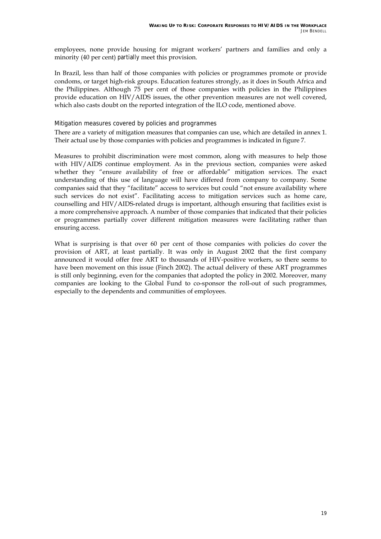employees, none provide housing for migrant workers' partners and families and only a minority (40 per cent) *partially* meet this provision.

In Brazil, less than half of those companies with policies or programmes promote or provide condoms, or target high-risk groups. Education features strongly, as it does in South Africa and the Philippines. Although 75 per cent of those companies with policies in the Philippines provide education on HIV/AIDS issues, the other prevention measures are not well covered, which also casts doubt on the reported integration of the ILO code, mentioned above.

#### Mitigation measures covered by policies and programmes

There are a variety of mitigation measures that companies can use, which are detailed in annex 1. Their actual use by those companies with policies and programmes is indicated in figure 7.

Measures to prohibit discrimination were most common, along with measures to help those with HIV/AIDS continue employment. As in the previous section, companies were asked whether they "ensure availability of free or affordable" mitigation services. The exact understanding of this use of language will have differed from company to company. Some companies said that they "facilitate" access to services but could "not ensure availability where such services do not exist". Facilitating access to mitigation services such as home care, counselling and HIV/AIDS-related drugs is important, although ensuring that facilities exist is a more comprehensive approach. A number of those companies that indicated that their policies or programmes partially cover different mitigation measures were facilitating rather than ensuring access.

What is surprising is that over 60 per cent of those companies with policies do cover the provision of ART, at least partially. It was only in August 2002 that the first company announced it would offer free ART to thousands of HIV-positive workers, so there seems to have been movement on this issue (Finch 2002). The actual delivery of these ART programmes is still only beginning, even for the companies that adopted the policy in 2002. Moreover, many companies are looking to the Global Fund to co-sponsor the roll-out of such programmes, especially to the dependents and communities of employees.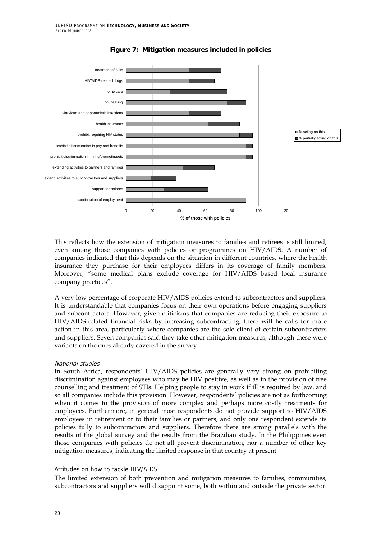

#### **Figure 7: Mitigation measures included in policies**

This reflects how the extension of mitigation measures to families and retirees is still limited, even among those companies with policies or programmes on HIV/AIDS. A number of companies indicated that this depends on the situation in different countries, where the health insurance they purchase for their employees differs in its coverage of family members. Moreover, "some medical plans exclude coverage for HIV/AIDS based local insurance company practices".

A very low percentage of corporate HIV/AIDS policies extend to subcontractors and suppliers. It is understandable that companies focus on their own operations before engaging suppliers and subcontractors. However, given criticisms that companies are reducing their exposure to HIV/AIDS-related financial risks by increasing subcontracting, there will be calls for more action in this area, particularly where companies are the sole client of certain subcontractors and suppliers. Seven companies said they take other mitigation measures, although these were variants on the ones already covered in the survey.

#### National studies

In South Africa, respondentsí HIV/AIDS policies are generally very strong on prohibiting discrimination against employees who may be HIV positive, as well as in the provision of free counselling and treatment of STIs. Helping people to stay in work if ill is required by law, and so all companies include this provision. However, respondents' policies are not as forthcoming when it comes to the provision of more complex and perhaps more costly treatments for employees. Furthermore, in general most respondents do not provide support to HIV/AIDS employees in retirement or to their families or partners, and only one respondent extends its policies fully to subcontractors and suppliers. Therefore there are strong parallels with the results of the global survey and the results from the Brazilian study. In the Philippines even those companies with policies do not all prevent discrimination, nor a number of other key mitigation measures, indicating the limited response in that country at present.

#### Attitudes on how to tackle HIV/AIDS

The limited extension of both prevention and mitigation measures to families, communities, subcontractors and suppliers will disappoint some, both within and outside the private sector.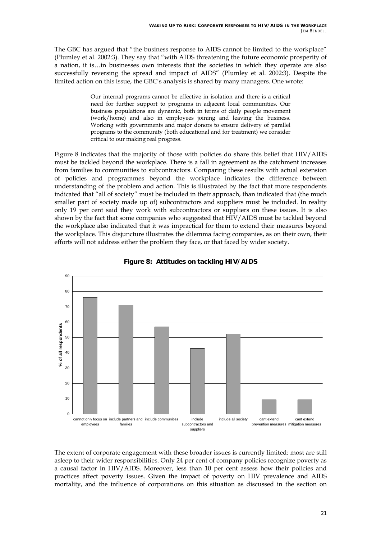The GBC has argued that "the business response to AIDS cannot be limited to the workplace" (Plumley et al. 2002:3). They say that "with AIDS threatening the future economic prosperity of a nation, it is...in businesses own interests that the societies in which they operate are also successfully reversing the spread and impact of AIDS" (Plumley et al. 2002:3). Despite the limited action on this issue, the GBC's analysis is shared by many managers. One wrote:

> Our internal programs cannot be effective in isolation and there is a critical need for further support to programs in adjacent local communities. Our business populations are dynamic, both in terms of daily people movement (work/home) and also in employees joining and leaving the business. Working with governments and major donors to ensure delivery of parallel programs to the community (both educational and for treatment) we consider critical to our making real progress.

Figure 8 indicates that the majority of those with policies do share this belief that HIV/AIDS must be tackled beyond the workplace. There is a fall in agreement as the catchment increases from families to communities to subcontractors. Comparing these results with actual extension of policies and programmes beyond the workplace indicates the difference between understanding of the problem and action. This is illustrated by the fact that more respondents indicated that "all of society" must be included in their approach, than indicated that (the much smaller part of society made up of) subcontractors and suppliers must be included. In reality only 19 per cent said they work with subcontractors or suppliers on these issues. It is also shown by the fact that some companies who suggested that HIV/AIDS must be tackled beyond the workplace also indicated that it was impractical for them to extend their measures beyond the workplace. This disjuncture illustrates the dilemma facing companies, as on their own, their efforts will not address either the problem they face, or that faced by wider society.





The extent of corporate engagement with these broader issues is currently limited: most are still asleep to their wider responsibilities. Only 24 per cent of company policies recognize poverty as a causal factor in HIV/AIDS. Moreover, less than 10 per cent assess how their policies and practices affect poverty issues. Given the impact of poverty on HIV prevalence and AIDS mortality, and the influence of corporations on this situation as discussed in the section on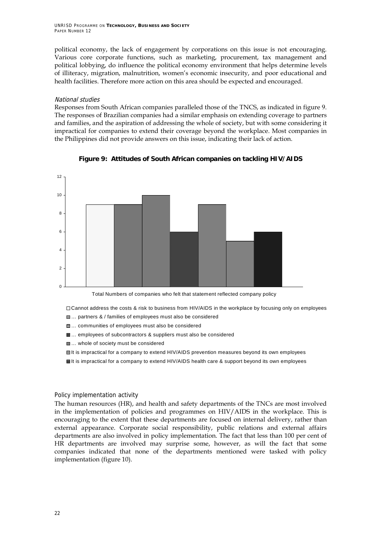UNRISD PROGRAMME ON **TECHNOLOGY, BUSINESS AND SOCIETY** PAPER NUMBER 12

political economy, the lack of engagement by corporations on this issue is not encouraging. Various core corporate functions, such as marketing, procurement, tax management and political lobbying, do influence the political economy environment that helps determine levels of illiteracy, migration, malnutrition, womenís economic insecurity, and poor educational and health facilities. Therefore more action on this area should be expected and encouraged.

#### National studies

Responses from South African companies paralleled those of the TNCS, as indicated in figure 9. The responses of Brazilian companies had a similar emphasis on extending coverage to partners and families, and the aspiration of addressing the whole of society, but with some considering it impractical for companies to extend their coverage beyond the workplace. Most companies in the Philippines did not provide answers on this issue, indicating their lack of action.



**Figure 9: Attitudes of South African companies on tackling HIV/AIDS** 

Total Numbers of companies who felt that statement reflected company policy

Cannot address the costs & risk to business from HIV/AIDS in the workplace by focusing only on employees

- **II**... partners & / families of employees must also be considered
- **■**... communities of employees must also be considered
- **Ⅲ**... employees of subcontractors & suppliers must also be considered
- **...** whole of society must be considered
- It is impractical for a company to extend HIV/AIDS prevention measures beyond its own employees
- **Bill** tis impractical for a company to extend HIV/AIDS health care & support beyond its own employees

#### Policy implementation activity

The human resources (HR), and health and safety departments of the TNCs are most involved in the implementation of policies and programmes on HIV/AIDS in the workplace. This is encouraging to the extent that these departments are focused on internal delivery, rather than external appearance. Corporate social responsibility, public relations and external affairs departments are also involved in policy implementation. The fact that less than 100 per cent of HR departments are involved may surprise some, however, as will the fact that some companies indicated that none of the departments mentioned were tasked with policy implementation (figure 10).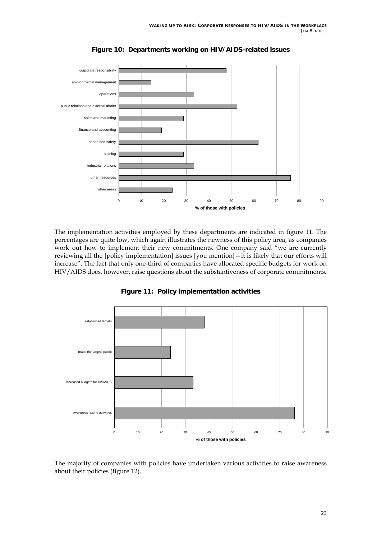

**Figure 10: Departments working on HIV/AIDS-related issues** 

The implementation activities employed by these departments are indicated in figure 11. The percentages are quite low, which again illustrates the newness of this policy area, as companies work out how to implement their new commitments. One company said "we are currently reviewing all the [policy implementation] issues [you mention] – it is likely that our efforts will increase". The fact that only one-third of companies have allocated specific budgets for work on HIV/AIDS does, however, raise questions about the substantiveness of corporate commitments.



**Figure 11: Policy implementation activities** 

The majority of companies with policies have undertaken various activities to raise awareness about their policies (figure 12).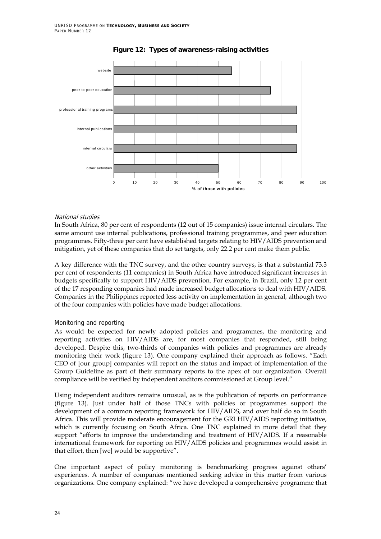

#### **Figure 12: Types of awareness-raising activities**

#### National studies

In South Africa, 80 per cent of respondents (12 out of 15 companies) issue internal circulars. The same amount use internal publications, professional training programmes, and peer education programmes. Fifty-three per cent have established targets relating to HIV/AIDS prevention and mitigation, yet of these companies that do set targets, only 22.2 per cent make them public.

A key difference with the TNC survey, and the other country surveys, is that a substantial 73.3 per cent of respondents (11 companies) in South Africa have introduced significant increases in budgets specifically to support HIV/AIDS prevention. For example, in Brazil, only 12 per cent of the 17 responding companies had made increased budget allocations to deal with HIV/AIDS. Companies in the Philippines reported less activity on implementation in general, although two of the four companies with policies have made budget allocations.

#### Monitoring and reporting

As would be expected for newly adopted policies and programmes, the monitoring and reporting activities on HIV/AIDS are, for most companies that responded, still being developed. Despite this, two-thirds of companies with policies and programmes are already monitoring their work (figure 13). One company explained their approach as follows. "Each CEO of [our group] companies will report on the status and impact of implementation of the Group Guideline as part of their summary reports to the apex of our organization. Overall compliance will be verified by independent auditors commissioned at Group level."

Using independent auditors remains unusual, as is the publication of reports on performance (figure 13). Just under half of those TNCs with policies or programmes support the development of a common reporting framework for HIV/AIDS, and over half do so in South Africa. This will provide moderate encouragement for the GRI HIV/AIDS reporting initiative, which is currently focusing on South Africa. One TNC explained in more detail that they support "efforts to improve the understanding and treatment of HIV/AIDS. If a reasonable international framework for reporting on HIV/AIDS policies and programmes would assist in that effort, then [we] would be supportive".

One important aspect of policy monitoring is benchmarking progress against othersí experiences. A number of companies mentioned seeking advice in this matter from various organizations. One company explained: "we have developed a comprehensive programme that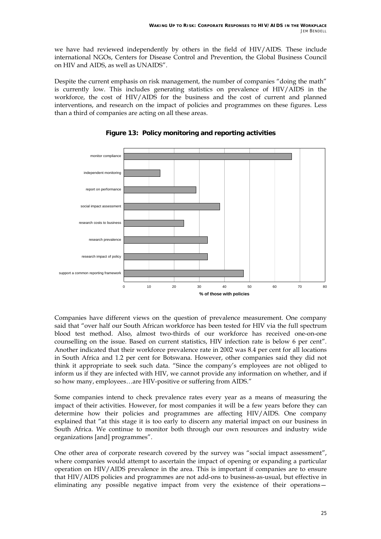we have had reviewed independently by others in the field of HIV/AIDS. These include international NGOs, Centers for Disease Control and Prevention, the Global Business Council on HIV and AIDS, as well as UNAIDS".

Despite the current emphasis on risk management, the number of companies "doing the math" is currently low. This includes generating statistics on prevalence of HIV/AIDS in the workforce, the cost of HIV/AIDS for the business and the cost of current and planned interventions, and research on the impact of policies and programmes on these figures. Less than a third of companies are acting on all these areas.



**Figure 13: Policy monitoring and reporting activities** 

Companies have different views on the question of prevalence measurement. One company said that "over half our South African workforce has been tested for HIV via the full spectrum blood test method. Also, almost two-thirds of our workforce has received one-on-one counselling on the issue. Based on current statistics, HIV infection rate is below 6 per cent". Another indicated that their workforce prevalence rate in 2002 was 8.4 per cent for all locations in South Africa and 1.2 per cent for Botswana. However, other companies said they did not think it appropriate to seek such data. "Since the company's employees are not obliged to inform us if they are infected with HIV, we cannot provide any information on whether, and if so how many, employees...are HIV-positive or suffering from AIDS."

Some companies intend to check prevalence rates every year as a means of measuring the impact of their activities. However, for most companies it will be a few years before they can determine how their policies and programmes are affecting HIV/AIDS. One company explained that "at this stage it is too early to discern any material impact on our business in South Africa. We continue to monitor both through our own resources and industry wide organizations [and] programmes".

One other area of corporate research covered by the survey was "social impact assessment", where companies would attempt to ascertain the impact of opening or expanding a particular operation on HIV/AIDS prevalence in the area. This is important if companies are to ensure that HIV/AIDS policies and programmes are not add-ons to business-as-usual, but effective in eliminating any possible negative impact from very the existence of their operations $-$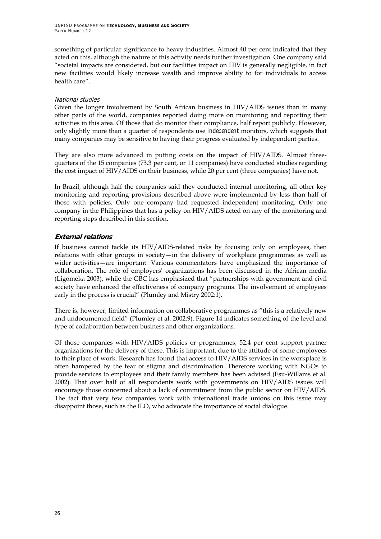something of particular significance to heavy industries. Almost 40 per cent indicated that they acted on this, although the nature of this activity needs further investigation. One company said "societal impacts are considered, but our facilities impact on HIV is generally negligible, in fact new facilities would likely increase wealth and improve ability to for individuals to access health care".

#### National studies

Given the longer involvement by South African business in HIV/AIDS issues than in many other parts of the world, companies reported doing more on monitoring and reporting their activities in this area. Of those that do monitor their compliance, half report publicly. However, only slightly more than a quarter of respondents use *independent* monitors, which suggests that many companies may be sensitive to having their progress evaluated by independent parties.

They are also more advanced in putting costs on the impact of HIV/AIDS. Almost threequarters of the 15 companies (73.3 per cent, or 11 companies) have conducted studies regarding the cost impact of HIV/AIDS on their business, while 20 per cent (three companies) have not.

In Brazil, although half the companies said they conducted internal monitoring, all other key monitoring and reporting provisions described above were implemented by less than half of those with policies. Only one company had requested independent monitoring. Only one company in the Philippines that has a policy on HIV/AIDS acted on any of the monitoring and reporting steps described in this section.

#### **External relations**

If business cannot tackle its HIV/AIDS-related risks by focusing only on employees, then relations with other groups in society  $-$  in the delivery of workplace programmes as well as wider activities–are important. Various commentators have emphasized the importance of collaboration. The role of employers' organizations has been discussed in the African media (Ligomeka 2003), while the GBC has emphasized that "partnerships with government and civil society have enhanced the effectiveness of company programs. The involvement of employees early in the process is crucial" (Plumley and Mistry 2002:1).

There is, however, limited information on collaborative programmes as "this is a relatively new and undocumented field" (Plumley et al. 2002:9). Figure 14 indicates something of the level and type of collaboration between business and other organizations.

Of those companies with HIV/AIDS policies or programmes, 52.4 per cent support partner organizations for the delivery of these. This is important, due to the attitude of some employees to their place of work. Research has found that access to HIV/AIDS services in the workplace is often hampered by the fear of stigma and discrimination. Therefore working with NGOs to provide services to employees and their family members has been advised (Esu-Willams et al. 2002). That over half of all respondents work with governments on HIV/AIDS issues will encourage those concerned about a lack of commitment from the public sector on HIV/AIDS. The fact that very few companies work with international trade unions on this issue may disappoint those, such as the ILO, who advocate the importance of social dialogue.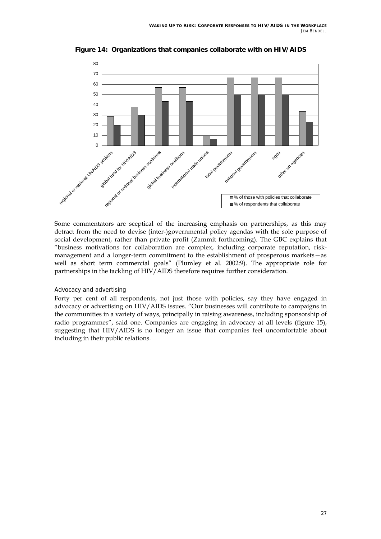

**Figure 14: Organizations that companies collaborate with on HIV/AIDS** 

Some commentators are sceptical of the increasing emphasis on partnerships, as this may detract from the need to devise (inter-)governmental policy agendas with the sole purpose of social development, rather than private profit (Zammit forthcoming). The GBC explains that "business motivations for collaboration are complex, including corporate reputation, riskmanagement and a longer-term commitment to the establishment of prosperous markets-as well as short term commercial goals" (Plumley et al. 2002:9). The appropriate role for partnerships in the tackling of HIV/AIDS therefore requires further consideration.

#### Advocacy and advertising

Forty per cent of all respondents, not just those with policies, say they have engaged in advocacy or advertising on HIV/AIDS issues. "Our businesses will contribute to campaigns in the communities in a variety of ways, principally in raising awareness, including sponsorship of radio programmes", said one. Companies are engaging in advocacy at all levels (figure 15), suggesting that HIV/AIDS is no longer an issue that companies feel uncomfortable about including in their public relations.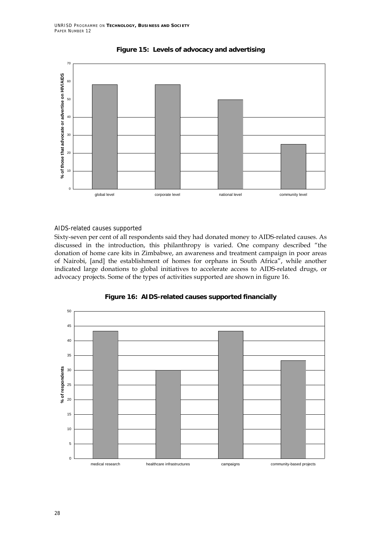



#### AIDS-related causes supported

Sixty-seven per cent of all respondents said they had donated money to AIDS-related causes. As discussed in the introduction, this philanthropy is varied. One company described "the donation of home care kits in Zimbabwe, an awareness and treatment campaign in poor areas of Nairobi, [and] the establishment of homes for orphans in South Africa", while another indicated large donations to global initiatives to accelerate access to AIDS-related drugs, or advocacy projects. Some of the types of activities supported are shown in figure 16.



**Figure 16: AIDS-related causes supported financially**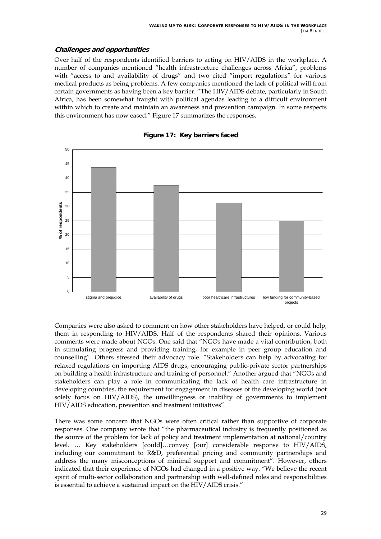#### **Challenges and opportunities**

Over half of the respondents identified barriers to acting on HIV/AIDS in the workplace. A number of companies mentioned "health infrastructure challenges across Africa", problems with "access to and availability of drugs" and two cited "import regulations" for various medical products as being problems. A few companies mentioned the lack of political will from certain governments as having been a key barrier. "The HIV/AIDS debate, particularly in South Africa, has been somewhat fraught with political agendas leading to a difficult environment within which to create and maintain an awareness and prevention campaign. In some respects this environment has now eased." Figure 17 summarizes the responses.



#### **Figure 17: Key barriers faced**

Companies were also asked to comment on how other stakeholders have helped, or could help, them in responding to HIV/AIDS. Half of the respondents shared their opinions. Various comments were made about NGOs. One said that "NGOs have made a vital contribution, both in stimulating progress and providing training, for example in peer group education and counselling". Others stressed their advocacy role. "Stakeholders can help by advocating for relaxed regulations on importing AIDS drugs, encouraging public-private sector partnerships on building a health infrastructure and training of personnel." Another argued that "NGOs and stakeholders can play a role in communicating the lack of health care infrastructure in developing countries, the requirement for engagement in diseases of the developing world (not solely focus on HIV/AIDS), the unwillingness or inability of governments to implement HIV/AIDS education, prevention and treatment initiatives".

There was some concern that NGOs were often critical rather than supportive of corporate responses. One company wrote that "the pharmaceutical industry is frequently positioned as the source of the problem for lack of policy and treatment implementation at national/country level. ... Key stakeholders [could]...convey [our] considerable response to HIV/AIDS, including our commitment to R&D, preferential pricing and community partnerships and address the many misconceptions of minimal support and commitment". However, others indicated that their experience of NGOs had changed in a positive way. "We believe the recent spirit of multi-sector collaboration and partnership with well-defined roles and responsibilities is essential to achieve a sustained impact on the HIV/AIDS crisis. $''$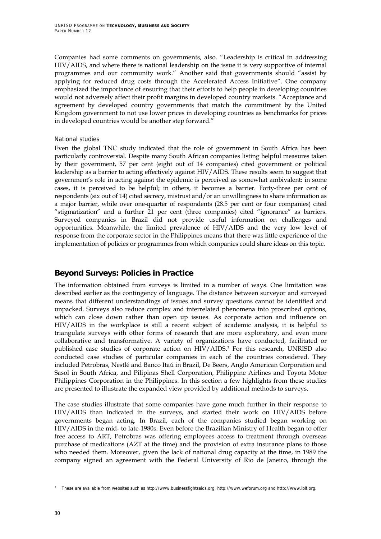Companies had some comments on governments, also. "Leadership is critical in addressing HIV/AIDS, and where there is national leadership on the issue it is very supportive of internal programmes and our community work." Another said that governments should "assist by applying for reduced drug costs through the Accelerated Access Initiative". One company emphasized the importance of ensuring that their efforts to help people in developing countries would not adversely affect their profit margins in developed country markets. "Acceptance and agreement by developed country governments that match the commitment by the United Kingdom government to not use lower prices in developing countries as benchmarks for prices in developed countries would be another step forward."

#### National studies

Even the global TNC study indicated that the role of government in South Africa has been particularly controversial. Despite many South African companies listing helpful measures taken by their government, 57 per cent (eight out of 14 companies) cited government or political leadership as a barrier to acting effectively against HIV/AIDS. These results seem to suggest that governmentís role in acting against the epidemic is perceived as somewhat ambivalent: in some cases, it is perceived to be helpful; in others, it becomes a barrier. Forty-three per cent of respondents (six out of 14) cited secrecy, mistrust and/or an unwillingness to share information as a major barrier, while over one-quarter of respondents (28.5 per cent or four companies) cited "stigmatization" and a further 21 per cent (three companies) cited "ignorance" as barriers. Surveyed companies in Brazil did not provide useful information on challenges and opportunities. Meanwhile, the limited prevalence of HIV/AIDS and the very low level of response from the corporate sector in the Philippines means that there was little experience of the implementation of policies or programmes from which companies could share ideas on this topic.

### **Beyond Surveys: Policies in Practice**

The information obtained from surveys is limited in a number of ways. One limitation was described earlier as the contingency of language. The distance between surveyor and surveyed means that different understandings of issues and survey questions cannot be identified and unpacked. Surveys also reduce complex and interrelated phenomena into proscribed options, which can close down rather than open up issues. As corporate action and influence on HIV/AIDS in the workplace is still a recent subject of academic analysis, it is helpful to triangulate surveys with other forms of research that are more exploratory, and even more collaborative and transformative. A variety of organizations have conducted, facilitated or published case studies of corporate action on HIV/AIDS.3 For this research, UNRISD also conducted case studies of particular companies in each of the countries considered. They included Petrobras, Nestlé and Banco Itaú in Brazil, De Beers, Anglo American Corporation and Sasol in South Africa, and Pilipinas Shell Corporation, Philippine Airlines and Toyota Motor Philippines Corporation in the Philippines. In this section a few highlights from these studies are presented to illustrate the expanded view provided by additional methods to surveys.

The case studies illustrate that some companies have gone much further in their response to HIV/AIDS than indicated in the surveys, and started their work on HIV/AIDS before governments began acting. In Brazil, each of the companies studied began working on HIV/AIDS in the mid- to late-1980s. Even before the Brazilian Ministry of Health began to offer free access to ART, Petrobras was offering employees access to treatment through overseas purchase of medications (AZT at the time) and the provision of extra insurance plans to those who needed them. Moreover, given the lack of national drug capacity at the time, in 1989 the company signed an agreement with the Federal University of Rio de Janeiro, through the

 3 These are available from websites such as http://www.businessfightsaids.org, http://www.weforum.org and http://www.iblf.org.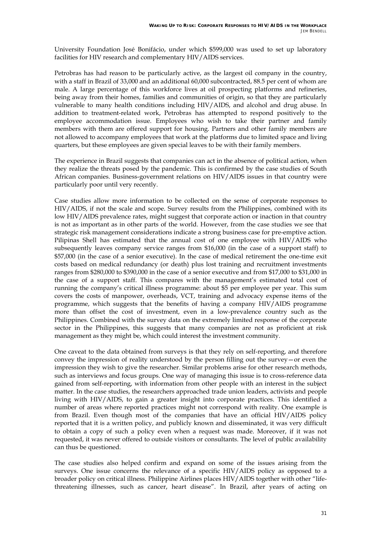University Foundation José Bonifácio, under which \$599,000 was used to set up laboratory facilities for HIV research and complementary HIV/AIDS services.

Petrobras has had reason to be particularly active, as the largest oil company in the country, with a staff in Brazil of 33,000 and an additional 60,000 subcontracted, 88.5 per cent of whom are male. A large percentage of this workforce lives at oil prospecting platforms and refineries, being away from their homes, families and communities of origin, so that they are particularly vulnerable to many health conditions including HIV/AIDS, and alcohol and drug abuse. In addition to treatment-related work, Petrobras has attempted to respond positively to the employee accommodation issue. Employees who wish to take their partner and family members with them are offered support for housing. Partners and other family members are not allowed to accompany employees that work at the platforms due to limited space and living quarters, but these employees are given special leaves to be with their family members.

The experience in Brazil suggests that companies can act in the absence of political action, when they realize the threats posed by the pandemic. This is confirmed by the case studies of South African companies. Business-government relations on HIV/AIDS issues in that country were particularly poor until very recently.

Case studies allow more information to be collected on the sense of corporate responses to HIV/AIDS, if not the scale and scope. Survey results from the Philippines, combined with its low HIV/AIDS prevalence rates, might suggest that corporate action or inaction in that country is not as important as in other parts of the world. However, from the case studies we see that strategic risk management considerations indicate a strong business case for pre-emptive action. Pilipinas Shell has estimated that the annual cost of one employee with HIV/AIDS who subsequently leaves company service ranges from \$16,000 (in the case of a support staff) to \$57,000 (in the case of a senior executive). In the case of medical retirement the one-time exit costs based on medical redundancy (or death) plus lost training and recruitment investments ranges from \$280,000 to \$390,000 in the case of a senior executive and from \$17,000 to \$31,000 in the case of a support staff. This compares with the management's estimated total cost of running the companyís critical illness programme: about \$5 per employee per year. This sum covers the costs of manpower, overheads, VCT, training and advocacy expense items of the programme, which suggests that the benefits of having a company HIV/AIDS programme more than offset the cost of investment, even in a low-prevalence country such as the Philippines. Combined with the survey data on the extremely limited response of the corporate sector in the Philippines, this suggests that many companies are not as proficient at risk management as they might be, which could interest the investment community.

One caveat to the data obtained from surveys is that they rely on self-reporting, and therefore convey the impression of reality understood by the person filling out the survey  $-$  or even the impression they wish to give the researcher. Similar problems arise for other research methods, such as interviews and focus groups. One way of managing this issue is to cross-reference data gained from self-reporting, with information from other people with an interest in the subject matter. In the case studies, the researchers approached trade union leaders, activists and people living with HIV/AIDS, to gain a greater insight into corporate practices. This identified a number of areas where reported practices might not correspond with reality. One example is from Brazil. Even though most of the companies that have an official HIV/AIDS policy reported that it is a written policy, and publicly known and disseminated, it was very difficult to obtain a copy of such a policy even when a request was made. Moreover, if it was not requested, it was never offered to outside visitors or consultants. The level of public availability can thus be questioned.

The case studies also helped confirm and expand on some of the issues arising from the surveys. One issue concerns the relevance of a specific HIV/AIDS policy as opposed to a broader policy on critical illness. Philippine Airlines places HIV/AIDS together with other "lifethreatening illnesses, such as cancer, heart disease". In Brazil, after years of acting on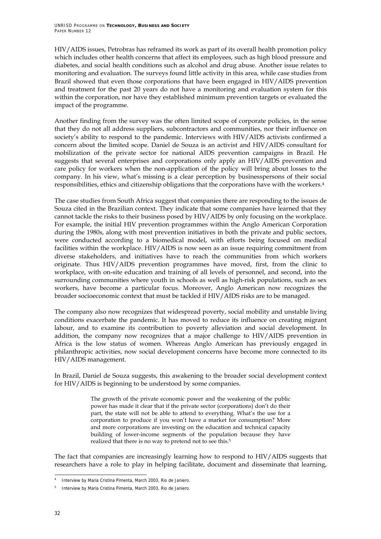HIV/AIDS issues, Petrobras has reframed its work as part of its overall health promotion policy which includes other health concerns that affect its employees, such as high blood pressure and diabetes, and social health conditions such as alcohol and drug abuse. Another issue relates to monitoring and evaluation. The surveys found little activity in this area, while case studies from Brazil showed that even those corporations that have been engaged in HIV/AIDS prevention and treatment for the past 20 years do not have a monitoring and evaluation system for this within the corporation, nor have they established minimum prevention targets or evaluated the impact of the programme.

Another finding from the survey was the often limited scope of corporate policies, in the sense that they do not all address suppliers, subcontractors and communities, nor their influence on society's ability to respond to the pandemic. Interviews with HIV/AIDS activists confirmed a concern about the limited scope. Daniel de Souza is an activist and HIV/AIDS consultant for mobilization of the private sector for national AIDS prevention campaigns in Brazil. He suggests that several enterprises and corporations only apply an HIV/AIDS prevention and care policy for workers when the non-application of the policy will bring about losses to the company. In his view, what's missing is a clear perception by businesspersons of their social responsibilities, ethics and citizenship obligations that the corporations have with the workers.4

The case studies from South Africa suggest that companies there are responding to the issues de Souza cited in the Brazilian context. They indicate that some companies have learned that they cannot tackle the risks to their business posed by HIV/AIDS by only focusing on the workplace. For example, the initial HIV prevention programmes within the Anglo American Corporation during the 1980s, along with most prevention initiatives in both the private and public sectors, were conducted according to a biomedical model, with efforts being focused on medical facilities within the workplace. HIV/AIDS is now seen as an issue requiring commitment from diverse stakeholders, and initiatives have to reach the communities from which workers originate. Thus HIV/AIDS prevention programmes have moved, first, from the clinic to workplace, with on-site education and training of all levels of personnel, and second, into the surrounding communities where youth in schools as well as high-risk populations, such as sex workers, have become a particular focus. Moreover, Anglo American now recognizes the broader socioeconomic context that must be tackled if HIV/AIDS risks are to be managed.

The company also now recognizes that widespread poverty, social mobility and unstable living conditions exacerbate the pandemic. It has moved to reduce its influence on creating migrant labour, and to examine its contribution to poverty alleviation and social development. In addition, the company now recognizes that a major challenge to HIV/AIDS prevention in Africa is the low status of women. Whereas Anglo American has previously engaged in philanthropic activities, now social development concerns have become more connected to its HIV/AIDS management.

In Brazil, Daniel de Souza suggests, this awakening to the broader social development context for HIV/AIDS is beginning to be understood by some companies.

> The growth of the private economic power and the weakening of the public power has made it clear that if the private sector (corporations) don't do their part, the state will not be able to attend to everything. What's the use for a corporation to produce if you won't have a market for consumption? More and more corporations are investing on the education and technical capacity building of lower-income segments of the population because they have realized that there is no way to pretend not to see this.5

The fact that companies are increasingly learning how to respond to HIV/AIDS suggests that researchers have a role to play in helping facilitate, document and disseminate that learning,

ī 4 Interview by Maria Cristina Pimenta, March 2003, Rio de Janiero.

<sup>5</sup> Interview by Maria Cristina Pimenta, March 2003, Rio de Janiero.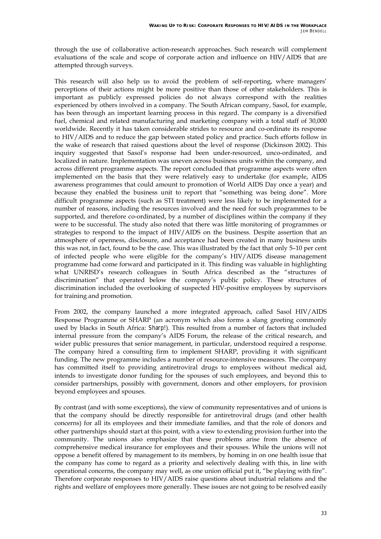through the use of collaborative action-research approaches. Such research will complement evaluations of the scale and scope of corporate action and influence on HIV/AIDS that are attempted through surveys.

This research will also help us to avoid the problem of self-reporting, where managers' perceptions of their actions might be more positive than those of other stakeholders. This is important as publicly expressed policies do not always correspond with the realities experienced by others involved in a company. The South African company, Sasol, for example, has been through an important learning process in this regard. The company is a diversified fuel, chemical and related manufacturing and marketing company with a total staff of 30,000 worldwide. Recently it has taken considerable strides to resource and co-ordinate its response to HIV/AIDS and to reduce the gap between stated policy and practice. Such efforts follow in the wake of research that raised questions about the level of response (Dickinson 2002). This inquiry suggested that Sasolís response had been under-resourced, unco-ordinated, and localized in nature. Implementation was uneven across business units within the company, and across different programme aspects. The report concluded that programme aspects were often implemented on the basis that they were relatively easy to undertake (for example, AIDS awareness programmes that could amount to promotion of World AIDS Day once a year) and because they enabled the business unit to report that "something was being done". More difficult programme aspects (such as STI treatment) were less likely to be implemented for a number of reasons, including the resources involved and the need for such programmes to be supported, and therefore co-ordinated, by a number of disciplines within the company if they were to be successful. The study also noted that there was little monitoring of programmes or strategies to respond to the impact of HIV/AIDS on the business. Despite assertion that an atmosphere of openness, disclosure, and acceptance had been created in many business units this was not, in fact, found to be the case. This was illustrated by the fact that only 5-10 per cent of infected people who were eligible for the companyís HIV/AIDS disease management programme had come forward and participated in it. This finding was valuable in highlighting what UNRISD's research colleagues in South Africa described as the "structures of discrimination" that operated below the company's public policy. These structures of discrimination included the overlooking of suspected HIV-positive employees by supervisors for training and promotion.

From 2002, the company launched a more integrated approach, called Sasol HIV/AIDS Response Programme or SHARP (an acronym which also forms a slang greeting commonly used by blacks in South Africa: *Sharp!*). This resulted from a number of factors that included internal pressure from the companyís AIDS Forum, the release of the critical research, and wider public pressures that senior management, in particular, understood required a response. The company hired a consulting firm to implement SHARP, providing it with significant funding. The new programme includes a number of resource-intensive measures. The company has committed itself to providing antiretroviral drugs to employees without medical aid, intends to investigate donor funding for the spouses of such employees, and beyond this to consider partnerships, possibly with government, donors and other employers, for provision beyond employees and spouses.

By contrast (and with some exceptions), the view of community representatives and of unions is that the company should be directly responsible for antiretroviral drugs (and other health concerns) for all its employees and their immediate families, and that the role of donors and other partnerships should start at this point, with a view to extending provision further into the community. The unions also emphasize that these problems arise from the absence of comprehensive medical insurance for employees and their spouses. While the unions will not oppose a benefit offered by management to its members, by homing in on one health issue that the company has come to regard as a priority and selectively dealing with this, in line with operational concerns, the company may well, as one union official put it, "be playing with fire". Therefore corporate responses to HIV/AIDS raise questions about industrial relations and the rights and welfare of employees more generally. These issues are not going to be resolved easily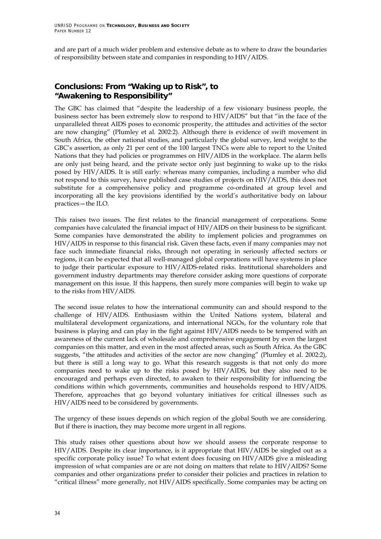and are part of a much wider problem and extensive debate as to where to draw the boundaries of responsibility between state and companies in responding to HIV/AIDS.

### **Conclusions: From "Waking up to Risk", to "Awakening to Responsibility"**

The GBC has claimed that "despite the leadership of a few visionary business people, the business sector has been extremely slow to respond to HIV/AIDS" but that "in the face of the unparalleled threat AIDS poses to economic prosperity, the attitudes and activities of the sector are now changing" (Plumley et al. 2002:2). Although there is evidence of swift movement in South Africa, the other national studies, and particularly the global survey, lend weight to the GBCís assertion, as only 21 per cent of the 100 largest TNCs were able to report to the United Nations that they had policies or programmes on HIV/AIDS in the workplace. The alarm bells are only just being heard, and the private sector only just beginning to wake up to the risks posed by HIV/AIDS. It is still early: whereas many companies, including a number who did not respond to this survey, have published case studies of projects on HIV/AIDS, this does not substitute for a comprehensive policy and programme co-ordinated at group level and incorporating all the key provisions identified by the world's authoritative body on labour practices - the ILO.

This raises two issues. The first relates to the financial management of corporations. Some companies have calculated the financial impact of HIV/AIDS on their business to be significant. Some companies have demonstrated the ability to implement policies and programmes on HIV/AIDS in response to this financial risk. Given these facts, even if many companies may not face such immediate financial risks, through not operating in seriously affected sectors or regions, it can be expected that all well-managed global corporations will have systems in place to judge their particular exposure to HIV/AIDS-related risks. Institutional shareholders and government industry departments may therefore consider asking more questions of corporate management on this issue. If this happens, then surely more companies will begin to wake up to the risks from HIV/AIDS.

The second issue relates to how the international community can and should respond to the challenge of HIV/AIDS. Enthusiasm within the United Nations system, bilateral and multilateral development organizations, and international NGOs, for the voluntary role that business is playing and can play in the fight against HIV/AIDS needs to be tempered with an awareness of the current lack of wholesale and comprehensive engagement by even the largest companies on this matter, and even in the most affected areas, such as South Africa. As the GBC suggests, "the attitudes and activities of the sector are now changing" (Plumley et al. 2002:2), but there is still a long way to go. What this research suggests is that not only do more companies need to wake up to the risks posed by HIV/AIDS, but they also need to be encouraged and perhaps even directed, to awaken to their responsibility for influencing the conditions within which governments, communities and households respond to HIV/AIDS. Therefore, approaches that go beyond voluntary initiatives for critical illnesses such as HIV/AIDS need to be considered by governments.

The urgency of these issues depends on which region of the global South we are considering. But if there is inaction, they may become more urgent in all regions.

This study raises other questions about how we should assess the corporate response to HIV/AIDS. Despite its clear importance, is it appropriate that HIV/AIDS be singled out as a specific corporate policy issue? To what extent does focusing on HIV/AIDS give a misleading impression of what companies are or are not doing on matters that relate to HIV/AIDS? Some companies and other organizations prefer to consider their policies and practices in relation to "critical illness" more generally, not HIV/AIDS specifically. Some companies may be acting on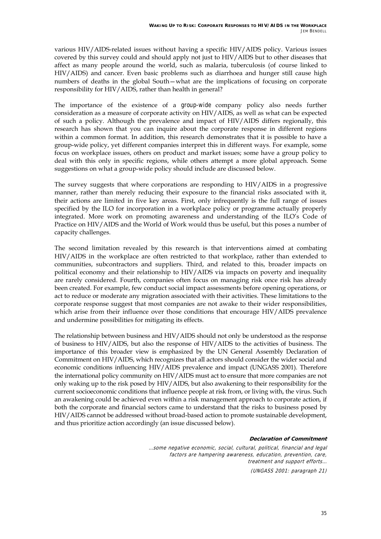various HIV/AIDS-related issues without having a specific HIV/AIDS policy. Various issues covered by this survey could and should apply not just to HIV/AIDS but to other diseases that affect as many people around the world, such as malaria, tuberculosis (of course linked to HIV/AIDS) and cancer. Even basic problems such as diarrhoea and hunger still cause high numbers of deaths in the global South–what are the implications of focusing on corporate responsibility for HIV/AIDS, rather than health in general?

The importance of the existence of a *group-wide* company policy also needs further consideration as a measure of corporate activity on HIV/AIDS, as well as what can be expected of such a policy. Although the prevalence and impact of HIV/AIDS differs regionally, this research has shown that you can inquire about the corporate response in different regions within a common format. In addition, this research demonstrates that it is possible to have a group-wide policy, yet different companies interpret this in different ways. For example, some focus on workplace issues, others on product and market issues; some have a group policy to deal with this only in specific regions, while others attempt a more global approach. Some suggestions on what a group-wide policy should include are discussed below.

The survey suggests that where corporations are responding to HIV/AIDS in a progressive manner, rather than merely reducing their exposure to the financial risks associated with it, their actions are limited in five key areas. First, only infrequently is the full range of issues specified by the ILO for incorporation in a workplace policy or programme actually properly integrated. More work on promoting awareness and understanding of the ILO's Code of Practice on HIV/AIDS and the World of Work would thus be useful, but this poses a number of capacity challenges.

The second limitation revealed by this research is that interventions aimed at combating HIV/AIDS in the workplace are often restricted to that workplace, rather than extended to communities, subcontractors and suppliers. Third, and related to this, broader impacts on political economy and their relationship to HIV/AIDS via impacts on poverty and inequality are rarely considered. Fourth, companies often focus on managing risk once risk has already been created. For example, few conduct social impact assessments before opening operations, or act to reduce or moderate any migration associated with their activities. These limitations to the corporate response suggest that most companies are not awake to their wider responsibilities, which arise from their influence over those conditions that encourage HIV/AIDS prevalence and undermine possibilities for mitigating its effects.

The relationship between business and HIV/AIDS should not only be understood as the response of business to HIV/AIDS, but also the response of HIV/AIDS to the activities of business. The importance of this broader view is emphasized by the UN General Assembly Declaration of Commitment on HIV/AIDS, which recognizes that all actors should consider the wider social and economic conditions influencing HIV/AIDS prevalence and impact (UNGASS 2001). Therefore the international policy community on HIV/AIDS must act to ensure that more companies are not only waking up to the risk posed by HIV/AIDS, but also awakening to their responsibility for the current socioeconomic conditions that influence people at risk from, or living with, the virus. Such an awakening could be achieved even within a risk management approach to corporate action, if both the corporate and financial sectors came to understand that the risks to business posed by HIV/AIDS cannot be addressed without broad-based action to promote sustainable development, and thus prioritize action accordingly (an issue discussed below).

#### **Declaration of Commitment**

…some negative economic, social, cultural, political, financial and legal factors are hampering awareness, education, prevention, care, treatment and support efforts…

(UNGASS 2001: paragraph 21)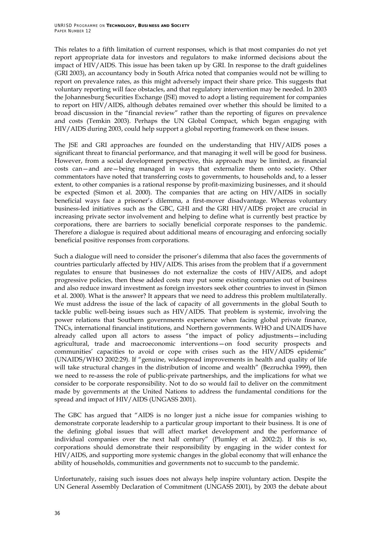This relates to a fifth limitation of current responses, which is that most companies do not yet report appropriate data for investors and regulators to make informed decisions about the impact of HIV/AIDS. This issue has been taken up by GRI. In response to the draft guidelines (GRI 2003), an accountancy body in South Africa noted that companies would not be willing to report on prevalence rates, as this might adversely impact their share price. This suggests that voluntary reporting will face obstacles, and that regulatory intervention may be needed. In 2003 the Johannesburg Securities Exchange (JSE) moved to adopt a listing requirement for companies to report on HIV/AIDS, although debates remained over whether this should be limited to a broad discussion in the "financial review" rather than the reporting of figures on prevalence and costs (Temkin 2003). Perhaps the UN Global Compact, which began engaging with HIV/AIDS during 2003, could help support a global reporting framework on these issues.

The JSE and GRI approaches are founded on the understanding that HIV/AIDS poses a significant threat to financial performance, and that managing it well will be good for business. However, from a social development perspective, this approach may be limited, as financial costs can–and are–being managed in ways that externalize them onto society. Other commentators have noted that transferring costs to governments, to households and, to a lesser extent, to other companies is a rational response by profit-maximizing businesses, and it should be expected (Simon et al. 2000). The companies that are acting on HIV/AIDS in socially beneficial ways face a prisonerís dilemma, a first-mover disadvantage. Whereas voluntary business-led initiatives such as the GBC, GHI and the GRI HIV/AIDS project are crucial in increasing private sector involvement and helping to define what is currently best practice by corporations, there are barriers to socially beneficial corporate responses to the pandemic. Therefore a dialogue is required about additional means of encouraging and enforcing socially beneficial positive responses from corporations.

Such a dialogue will need to consider the prisoner's dilemma that also faces the governments of countries particularly affected by HIV/AIDS. This arises from the problem that if a government regulates to ensure that businesses do not externalize the costs of HIV/AIDS, and adopt progressive policies, then these added costs may put some existing companies out of business and also reduce inward investment as foreign investors seek other countries to invest in (Simon et al. 2000). What is the answer? It appears that we need to address this problem multilaterally. We must address the issue of the lack of capacity of all governments in the global South to tackle public well-being issues such as  $HIV/ALDS$ . That problem is systemic, involving the power relations that Southern governments experience when facing global private finance, TNCs, international financial institutions, and Northern governments. WHO and UNAIDS have already called upon all actors to assess "the impact of policy adjustments—including agricultural, trade and macroeconomic interventions on food security prospects and communities' capacities to avoid or cope with crises such as the HIV/AIDS epidemic" (UNAIDS/WHO 2002:29). If "genuine, widespread improvements in health and quality of life will take structural changes in the distribution of income and wealth" (Bezruchka 1999), then we need to re-assess the role of public-private partnerships, and the implications for what we consider to be corporate responsibility. Not to do so would fail to deliver on the commitment made by governments at the United Nations to address the fundamental conditions for the spread and impact of HIV/AIDS (UNGASS 2001).

The GBC has argued that "AIDS is no longer just a niche issue for companies wishing to demonstrate corporate leadership to a particular group important to their business. It is one of the defining global issues that will affect market development and the performance of individual companies over the next half century" (Plumley et al. 2002:2). If this is so, corporations should demonstrate their responsibility by engaging in the wider context for HIV/AIDS, and supporting more systemic changes in the global economy that will enhance the ability of households, communities and governments not to succumb to the pandemic.

Unfortunately, raising such issues does not always help inspire voluntary action. Despite the UN General Assembly Declaration of Commitment (UNGASS 2001), by 2003 the debate about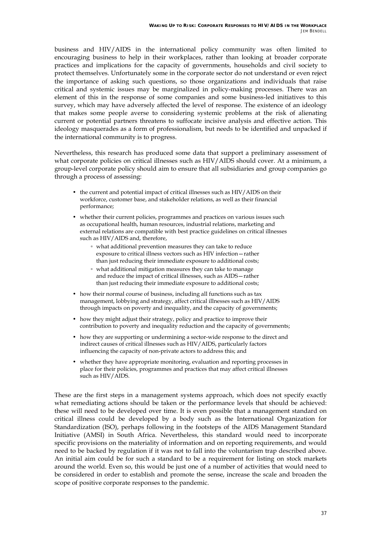business and HIV/AIDS in the international policy community was often limited to encouraging business to help in their workplaces, rather than looking at broader corporate practices and implications for the capacity of governments, households and civil society to protect themselves. Unfortunately some in the corporate sector do not understand or even reject the importance of asking such questions, so those organizations and individuals that raise critical and systemic issues may be marginalized in policy-making processes. There was an element of this in the response of some companies and some business-led initiatives to this survey, which may have adversely affected the level of response. The existence of an ideology that makes some people averse to considering systemic problems at the risk of alienating current or potential partners threatens to suffocate incisive analysis and effective action. This ideology masquerades as a form of professionalism, but needs to be identified and unpacked if the international community is to progress.

Nevertheless, this research has produced some data that support a preliminary assessment of what corporate policies on critical illnesses such as HIV/AIDS should cover. At a minimum, a group-level corporate policy should aim to ensure that all subsidiaries and group companies go through a process of assessing:

- the current and potential impact of critical illnesses such as HIV/AIDS on their workforce, customer base, and stakeholder relations, as well as their financial performance;
- whether their current policies, programmes and practices on various issues such as occupational health, human resources, industrial relations, marketing and external relations are compatible with best practice guidelines on critical illnesses such as HIV/AIDS and, therefore,
	- what additional prevention measures they can take to reduce exposure to critical illness vectors such as HIV infection-rather than just reducing their immediate exposure to additional costs;
	- what additional mitigation measures they can take to manage and reduce the impact of critical illnesses, such as AIDS-rather than just reducing their immediate exposure to additional costs;
- how their normal course of business, including all functions such as tax management, lobbying and strategy, affect critical illnesses such as HIV/AIDS through impacts on poverty and inequality, and the capacity of governments;
- how they might adjust their strategy, policy and practice to improve their contribution to poverty and inequality reduction and the capacity of governments;
- how they are supporting or undermining a sector-wide response to the direct and indirect causes of critical illnesses such as HIV/AIDS, particularly factors influencing the capacity of non-private actors to address this; and
- whether they have appropriate monitoring, evaluation and reporting processes in place for their policies, programmes and practices that may affect critical illnesses such as HIV/AIDS.

These are the first steps in a management systems approach, which does not specify exactly what remediating actions should be taken or the performance levels that should be achieved: these will need to be developed over time. It is even possible that a management standard on critical illness could be developed by a body such as the International Organization for Standardization (ISO), perhaps following in the footsteps of the AIDS Management Standard Initiative (AMSI) in South Africa. Nevertheless, this standard would need to incorporate specific provisions on the materiality of information and on reporting requirements, and would need to be backed by regulation if it was not to fall into the voluntarism trap described above. An initial aim could be for such a standard to be a requirement for listing on stock markets around the world. Even so, this would be just one of a number of activities that would need to be considered in order to establish and promote the sense, increase the scale and broaden the scope of positive corporate responses to the pandemic.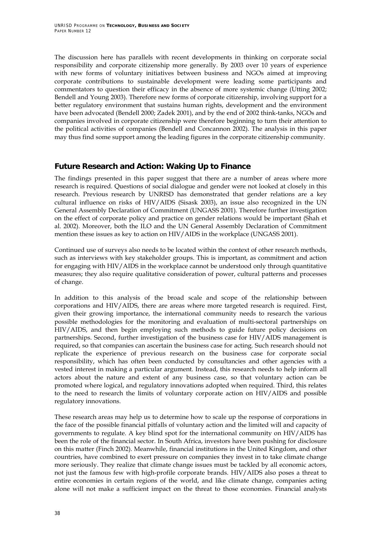The discussion here has parallels with recent developments in thinking on corporate social responsibility and corporate citizenship more generally. By 2003 over 10 years of experience with new forms of voluntary initiatives between business and NGOs aimed at improving corporate contributions to sustainable development were leading some participants and commentators to question their efficacy in the absence of more systemic change (Utting 2002; Bendell and Young 2003). Therefore new forms of corporate citizenship, involving support for a better regulatory environment that sustains human rights, development and the environment have been advocated (Bendell 2000; Zadek 2001), and by the end of 2002 think-tanks, NGOs and companies involved in corporate citizenship were therefore beginning to turn their attention to the political activities of companies (Bendell and Concannon 2002). The analysis in this paper may thus find some support among the leading figures in the corporate citizenship community.

### **Future Research and Action: Waking Up to Finance**

The findings presented in this paper suggest that there are a number of areas where more research is required. Questions of social dialogue and gender were not looked at closely in this research. Previous research by UNRISD has demonstrated that gender relations are a key cultural influence on risks of HIV/AIDS (Sisask 2003), an issue also recognized in the UN General Assembly Declaration of Commitment (UNGASS 2001). Therefore further investigation on the effect of corporate policy and practice on gender relations would be important (Shah et al. 2002). Moreover, both the ILO and the UN General Assembly Declaration of Commitment mention these issues as key to action on HIV/AIDS in the workplace (UNGASS 2001).

Continued use of surveys also needs to be located within the context of other research methods, such as interviews with key stakeholder groups. This is important, as commitment and action for engaging with HIV/AIDS in the workplace cannot be understood only through quantitative measures; they also require qualitative consideration of power, cultural patterns and processes of change.

In addition to this analysis of the broad scale and scope of the relationship between corporations and HIV/AIDS, there are areas where more targeted research is required. First, given their growing importance, the international community needs to research the various possible methodologies for the monitoring and evaluation of multi-sectoral partnerships on HIV/AIDS, and then begin employing such methods to guide future policy decisions on partnerships. Second, further investigation of the business case for HIV/AIDS management is required, so that companies can ascertain the business case for acting. Such research should not replicate the experience of previous research on the business case for corporate social responsibility, which has often been conducted by consultancies and other agencies with a vested interest in making a particular argument. Instead, this research needs to help inform all actors about the nature and extent of any business case, so that voluntary action can be promoted where logical, and regulatory innovations adopted when required. Third, this relates to the need to research the limits of voluntary corporate action on HIV/AIDS and possible regulatory innovations.

These research areas may help us to determine how to scale up the response of corporations in the face of the possible financial pitfalls of voluntary action and the limited will and capacity of governments to regulate. A key blind spot for the international community on HIV/AIDS has been the role of the financial sector. In South Africa, investors have been pushing for disclosure on this matter (Finch 2002). Meanwhile, financial institutions in the United Kingdom, and other countries, have combined to exert pressure on companies they invest in to take climate change more seriously. They realize that climate change issues must be tackled by all economic actors, not just the famous few with high-profile corporate brands. HIV/AIDS also poses a threat to entire economies in certain regions of the world, and like climate change, companies acting alone will not make a sufficient impact on the threat to those economies. Financial analysts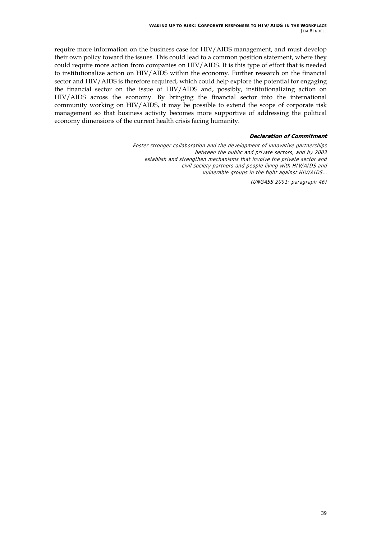require more information on the business case for HIV/AIDS management, and must develop their own policy toward the issues. This could lead to a common position statement, where they could require more action from companies on HIV/AIDS. It is this type of effort that is needed to institutionalize action on HIV/AIDS within the economy. Further research on the financial sector and HIV/AIDS is therefore required, which could help explore the potential for engaging the financial sector on the issue of HIV/AIDS and, possibly, institutionalizing action on HIV/AIDS across the economy. By bringing the financial sector into the international community working on HIV/AIDS, it may be possible to extend the scope of corporate risk management so that business activity becomes more supportive of addressing the political economy dimensions of the current health crisis facing humanity.

#### **Declaration of Commitment**

Foster stronger collaboration and the development of innovative partnerships between the public and private sectors, and by 2003 establish and strengthen mechanisms that involve the private sector and civil society partners and people living with HIV/AIDS and vulnerable groups in the fight against HIV/AIDS…

(UNGASS 2001: paragraph 46)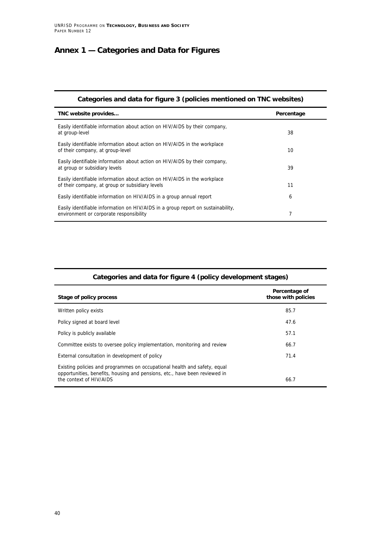### **Annex 1 — Categories and Data for Figures**

| Categories and data for figure 3 (policies mentioned on TNC websites)                                                        |            |
|------------------------------------------------------------------------------------------------------------------------------|------------|
| TNC website provides                                                                                                         | Percentage |
| Easily identifiable information about action on HIV/AIDS by their company,<br>at group-level                                 | 38         |
| Easily identifiable information about action on HIV/AIDS in the workplace<br>of their company, at group-level                | 10         |
| Easily identifiable information about action on HIV/AIDS by their company,<br>at group or subsidiary levels                  | 39         |
| Easily identifiable information about action on HIV/AIDS in the workplace<br>of their company, at group or subsidiary levels | 11         |
| Easily identifiable information on HIV/AIDS in a group annual report                                                         | 6          |
| Easily identifiable information on HIV/AIDS in a group report on sustainability,<br>environment or corporate responsibility  | 7          |

| Categories and data for figure 4 (policy development stages) |  |
|--------------------------------------------------------------|--|
| Percentage of<br>those with policies                         |  |
| 85.7                                                         |  |
| 47.6                                                         |  |
| 57.1                                                         |  |
| 66.7                                                         |  |
| 71.4                                                         |  |
| 66.7                                                         |  |
|                                                              |  |

#### **Categories and data for figure 4 (policy development stages)**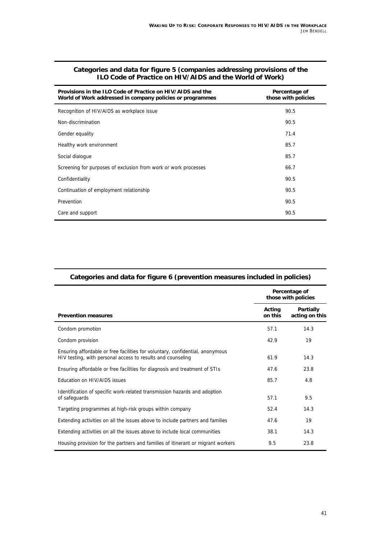| Provisions in the ILO Code of Practice on HIV/AIDS and the<br>World of Work addressed in company policies or programmes | Percentage of<br>those with policies |
|-------------------------------------------------------------------------------------------------------------------------|--------------------------------------|
| Recognition of HIV/AIDS as workplace issue                                                                              | 90.5                                 |
| Non-discrimination                                                                                                      | 90.5                                 |
| Gender equality                                                                                                         | 71.4                                 |
| Healthy work environment                                                                                                | 85.7                                 |
| Social dialogue                                                                                                         | 85.7                                 |
| Screening for purposes of exclusion from work or work processes                                                         | 66.7                                 |
| Confidentiality                                                                                                         | 90.5                                 |
| Continuation of employment relationship                                                                                 | 90.5                                 |
| Prevention                                                                                                              | 90.5                                 |
| Care and support                                                                                                        | 90.5                                 |

#### **Categories and data for figure 5 (companies addressing provisions of the ILO Code of Practice on HIV/AIDS and the World of Work)**

| $\frac{1}{2}$ and $\frac{1}{2}$ . $\frac{1}{2}$ . $\frac{1}{2}$ . $\frac{1}{2}$ . $\frac{1}{2}$ . $\frac{1}{2}$ . $\frac{1}{2}$ . $\frac{1}{2}$ . $\frac{1}{2}$ . $\frac{1}{2}$ . $\frac{1}{2}$ . $\frac{1}{2}$ . $\frac{1}{2}$ . $\frac{1}{2}$ . $\frac{1}{2}$ . $\frac{1}{2}$ . $\frac{1}{2}$ . $\frac{1}{2}$ . $\frac{1}{2}$ |                                      |                                    |
|---------------------------------------------------------------------------------------------------------------------------------------------------------------------------------------------------------------------------------------------------------------------------------------------------------------------------------|--------------------------------------|------------------------------------|
|                                                                                                                                                                                                                                                                                                                                 | Percentage of<br>those with policies |                                    |
| <b>Prevention measures</b>                                                                                                                                                                                                                                                                                                      | Acting<br>on this                    | <b>Partially</b><br>acting on this |
| Condom promotion                                                                                                                                                                                                                                                                                                                | 57.1                                 | 14.3                               |
| Condom provision                                                                                                                                                                                                                                                                                                                | 42.9                                 | 19                                 |
| Ensuring affordable or free facilities for voluntary, confidential, anonymous<br>HIV testing, with personal access to results and counseling                                                                                                                                                                                    | 61.9                                 | 14.3                               |
| Ensuring affordable or free facilities for diagnosis and treatment of STIs                                                                                                                                                                                                                                                      | 47.6                                 | 23.8                               |
| Education on HIV/AIDS issues                                                                                                                                                                                                                                                                                                    | 85.7                                 | 4.8                                |
| Identification of specific work-related transmission hazards and adoption<br>of safeguards                                                                                                                                                                                                                                      | 57.1                                 | 9.5                                |
| Targeting programmes at high-risk groups within company                                                                                                                                                                                                                                                                         | 52.4                                 | 14.3                               |
| Extending activities on all the issues above to include partners and families                                                                                                                                                                                                                                                   | 47.6                                 | 19                                 |
| Extending activities on all the issues above to include local communities                                                                                                                                                                                                                                                       | 38.1                                 | 14.3                               |
| Housing provision for the partners and families of itinerant or migrant workers                                                                                                                                                                                                                                                 | 9.5                                  | 23.8                               |

#### **Categories and data for figure 6 (prevention measures included in policies)**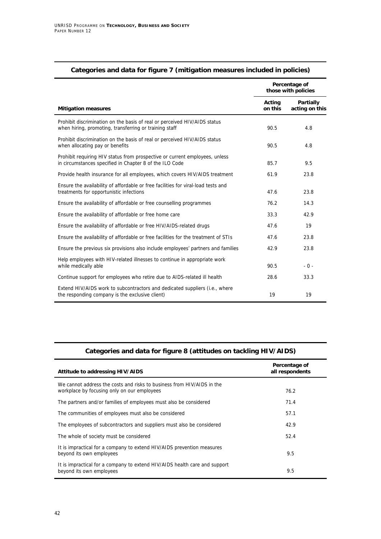|                                                                                                                                        |                   | Percentage of<br>those with policies |
|----------------------------------------------------------------------------------------------------------------------------------------|-------------------|--------------------------------------|
| <b>Mitigation measures</b>                                                                                                             | Acting<br>on this | <b>Partially</b><br>acting on this   |
| Prohibit discrimination on the basis of real or perceived HIV/AIDS status<br>when hiring, promoting, transferring or training staff    | 90.5              | 4.8                                  |
| Prohibit discrimination on the basis of real or perceived HIV/AIDS status<br>when allocating pay or benefits                           | 90.5              | 4.8                                  |
| Prohibit requiring HIV status from prospective or current employees, unless<br>in circumstances specified in Chapter 8 of the ILO Code | 85.7              | 9.5                                  |
| Provide health insurance for all employees, which covers HIV/AIDS treatment                                                            | 61.9              | 23.8                                 |
| Ensure the availability of affordable or free facilities for viral-load tests and<br>treatments for opportunistic infections           | 47.6              | 23.8                                 |
| Ensure the availability of affordable or free counselling programmes                                                                   | 76.2              | 14.3                                 |
| Ensure the availability of affordable or free home care                                                                                | 33.3              | 42.9                                 |
| Ensure the availability of affordable or free HIV/AIDS-related drugs                                                                   | 47.6              | 19                                   |
| Ensure the availability of affordable or free facilities for the treatment of STIs                                                     | 47.6              | 23.8                                 |
| Ensure the previous six provisions also include employees' partners and families                                                       | 42.9              | 23.8                                 |
| Help employees with HIV-related illnesses to continue in appropriate work<br>while medically able                                      | 90.5              | $-0-$                                |
| Continue support for employees who retire due to AIDS-related ill health                                                               | 28.6              | 33.3                                 |
| Extend HIV/AIDS work to subcontractors and dedicated suppliers (i.e., where<br>the responding company is the exclusive client)         | 19                | 19                                   |

#### **Categories and data for figure 7 (mitigation measures included in policies)**

#### **Categories and data for figure 8 (attitudes on tackling HIV/AIDS)**

| Attitude to addressing HIV/AIDS                                                                                       | Percentage of<br>all respondents |
|-----------------------------------------------------------------------------------------------------------------------|----------------------------------|
| We cannot address the costs and risks to business from HIV/AIDS in the<br>workplace by focusing only on our employees | 76.2                             |
| The partners and/or families of employees must also be considered                                                     | 71.4                             |
| The communities of employees must also be considered                                                                  | 57.1                             |
| The employees of subcontractors and suppliers must also be considered                                                 | 42.9                             |
| The whole of society must be considered                                                                               | 52.4                             |
| It is impractical for a company to extend HIV/AIDS prevention measures<br>beyond its own employees                    | 9.5                              |
| It is impractical for a company to extend HIV/AIDS health care and support<br>beyond its own employees                | 9.5                              |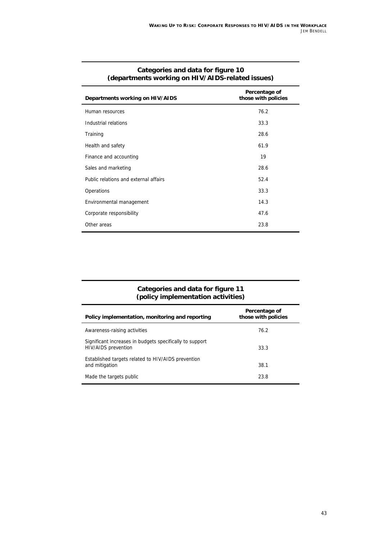| Departments working on HIV/AIDS       | Percentage of<br>those with policies |
|---------------------------------------|--------------------------------------|
| Human resources                       | 76.2                                 |
| Industrial relations                  | 33.3                                 |
| Training                              | 28.6                                 |
| Health and safety                     | 61.9                                 |
| Finance and accounting                | 19                                   |
| Sales and marketing                   | 28.6                                 |
| Public relations and external affairs | 52.4                                 |
| Operations                            | 33.3                                 |
| Environmental management              | 14.3                                 |
| Corporate responsibility              | 47.6                                 |
| Other areas                           | 23.8                                 |
|                                       |                                      |

#### **Categories and data for figure 10 (departments working on HIV/AIDS-related issues)**

#### **Categories and data for figure 11 (policy implementation activities)**

| Policy implementation, monitoring and reporting                                        | Percentage of<br>those with policies |
|----------------------------------------------------------------------------------------|--------------------------------------|
| Awareness-raising activities                                                           | 76.2                                 |
| Significant increases in budgets specifically to support<br><b>HIV/AIDS</b> prevention | 33.3                                 |
| Established targets related to HIV/AIDS prevention<br>and mitigation                   | 38.1                                 |
| Made the targets public                                                                | 23.8                                 |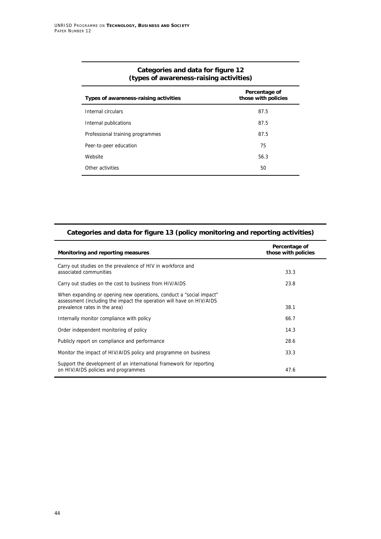| Percentage of<br>those with policies |
|--------------------------------------|
| 87.5                                 |
| 87.5                                 |
| 87.5                                 |
| 75                                   |
| 56.3                                 |
| 50                                   |
|                                      |

#### **Categories and data for figure 12 (types of awareness-raising activities)**

| Categories and data for figure 13 (policy monitoring and reporting activities) |               |
|--------------------------------------------------------------------------------|---------------|
|                                                                                | Dovesnicas of |

| Monitoring and reporting measures                                                                                                                                            | Percentage of<br>those with policies |
|------------------------------------------------------------------------------------------------------------------------------------------------------------------------------|--------------------------------------|
| Carry out studies on the prevalence of HIV in workforce and<br>associated communities                                                                                        | 33.3                                 |
| Carry out studies on the cost to business from HIV/AIDS                                                                                                                      | 23.8                                 |
| When expanding or opening new operations, conduct a "social impact"<br>assessment (including the impact the operation will have on HIV/AIDS<br>prevalence rates in the area) | 38.1                                 |
| Internally monitor compliance with policy                                                                                                                                    | 66.7                                 |
| Order independent monitoring of policy                                                                                                                                       | 14.3                                 |
| Publicly report on compliance and performance                                                                                                                                | 28.6                                 |
| Monitor the impact of HIV/AIDS policy and programme on business                                                                                                              | 33.3                                 |
| Support the development of an international framework for reporting<br>on HIV/AIDS policies and programmes                                                                   | 47.6                                 |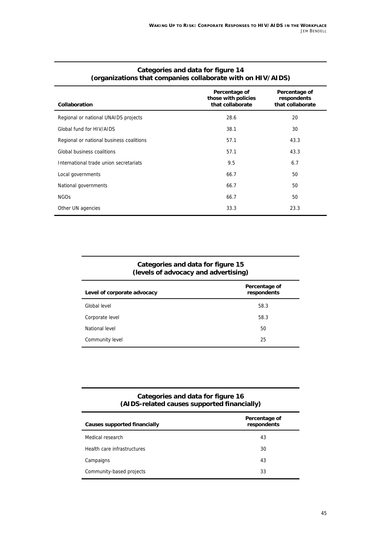| Collaboration                            | Percentage of<br>those with policies<br>that collaborate | Percentage of<br>respondents<br>that collaborate |
|------------------------------------------|----------------------------------------------------------|--------------------------------------------------|
| Regional or national UNAIDS projects     | 28.6                                                     | 20                                               |
| Global fund for HIV/AIDS                 | 38.1                                                     | 30                                               |
| Regional or national business coalitions | 57.1                                                     | 43.3                                             |
| Global business coalitions               | 57.1                                                     | 43.3                                             |
| International trade union secretariats   | 9.5                                                      | 6.7                                              |
| Local governments                        | 66.7                                                     | 50                                               |
| National governments                     | 66.7                                                     | 50                                               |
| <b>NGOs</b>                              | 66.7                                                     | 50                                               |
| Other UN agencies                        | 33.3                                                     | 23.3                                             |

#### **Categories and data for figure 14 (organizations that companies collaborate with on HIV/AIDS)**

#### **Categories and data for figure 15 (levels of advocacy and advertising)**

| Level of corporate advocacy | Percentage of<br>respondents |
|-----------------------------|------------------------------|
| Global level                | 58.3                         |
| Corporate level             | 58.3                         |
| National level              | 50                           |
| Community level             | 25                           |

#### **Categories and data for figure 16 (AIDS-related causes supported financially)**

| <b>Causes supported financially</b> | Percentage of<br>respondents |
|-------------------------------------|------------------------------|
| Medical research                    | 43                           |
| Health care infrastructures         | 30                           |
| Campaigns                           | 43                           |
| Community-based projects            | 33                           |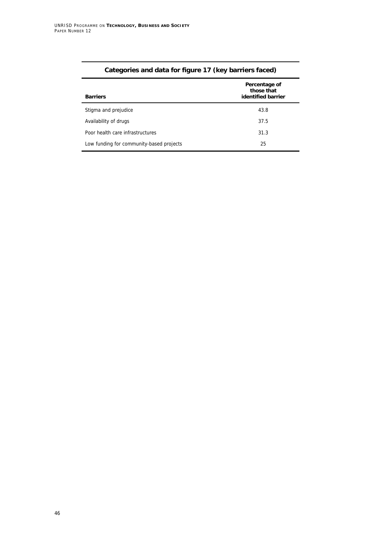| --                                       |                                                   |
|------------------------------------------|---------------------------------------------------|
| <b>Barriers</b>                          | Percentage of<br>those that<br>identified barrier |
| Stigma and prejudice                     | 43.8                                              |
| Availability of drugs                    | 37.5                                              |
| Poor health care infrastructures         | 31.3                                              |
| Low funding for community-based projects | 25                                                |

### **Categories and data for figure 17 (key barriers faced)**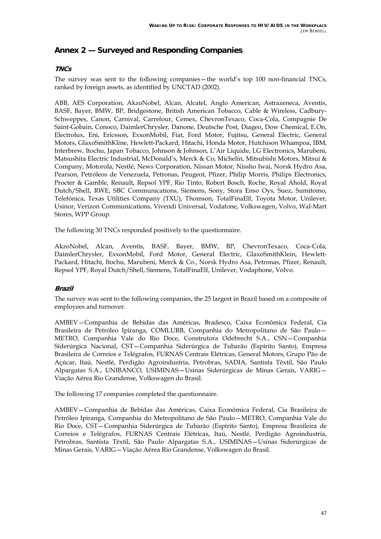### **Annex 2 — Surveyed and Responding Companies**

#### **TNCs**

The survey was sent to the following companies - the world's top 100 non-financial TNCs, ranked by foreign assets, as identified by UNCTAD (2002).

ABB, AES Corporation, AkzoNobel, Alcan, Alcatel, Anglo American, Astrazeneca, Aventis, BASF, Bayer, BMW, BP, Bridgestone, British American Tobacco, Cable & Wireless, Cadbury-Schweppes, Canon, Carnival, Carrefour, Cemex, ChevronTexaco, Coca-Cola, Compagnie De Saint-Gobain, Conoco, DaimlerChrysler, Danone, Deutsche Post, Diageo, Dow Chemical, E.On, Electrolux, Eni, Ericsson, ExxonMobil, Fiat, Ford Motor, Fujitsu, General Electric, General Motors, GlaxoSmithKline, Hewlett-Packard, Hitachi, Honda Motor, Hutchison Whampoa, IBM, Interbrew, Itochu, Japan Tobacco, Johnson & Johnson, LíAir Liquide, LG Electronics, Marubeni, Matsushita Electric Industrial, McDonald's, Merck & Co, Michelin, Mitsubishi Motors, Mitsui & Company, Motorola, NestlÈ, News Corporation, Nissan Motor, Nissho Iwai, Norsk Hydro Asa, Pearson, Petróleos de Venezuela, Petronas, Peugeot, Pfizer, Philip Morris, Philips Electronics, Procter & Gamble, Renault, Repsol YPF, Rio Tinto, Robert Bosch, Roche, Royal Ahold, Royal Dutch/Shell, RWE, SBC Communications, Siemens, Sony, Stora Enso Oys, Suez, Sumitomo, Telefónica, Texas Utilities Company (TXU), Thomson, TotalFinaElf, Toyota Motor, Unilever, Usinor, Verizon Communications, Vivendi Universal, Vodafone, Volkswagen, Volvo, Wal-Mart Stores, WPP Group.

The following 30 TNCs responded positively to the questionnaire.

AkzoNobel, Alcan, Aventis, BASF, Bayer, BMW, BP, ChevronTexaco, Coca-Cola, DaimlerChrysler, ExxonMobil, Ford Motor, General Electric, GlaxoSmithKlein, Hewlett-Packard, Hitachi, Itochu, Marubeni, Merck & Co., Norsk Hydro Asa, Petronas, Pfizer, Renault, Repsol YPF, Royal Dutch/Shell, Siemens, TotalFinaElf, Unilever, Vodaphone, Volvo.

#### **Brazil**

The survey was sent to the following companies, the 25 largest in Brazil based on a composite of employees and turnover.

AMBEV-Companhia de Bebidas das Américas, Bradesco, Caixa Econômica Federal, Cia Brasileira de Petróleo Ipiranga, COMLURB, Companhia do Metropolitano de São Paulo-METRO, Companhia Vale do Rio Doce, Construtora Odebrecht S.A., CSN-Companhia Siderúrgica Nacional, CST-Companhia Siderúrgica de Tubarão (Espírito Santo), Empresa Brasileira de Correios e Telégrafos, FURNAS Centrais Elétricas, General Motors, Grupo Pão de Açúcar, Itaú, Nestlé, Perdigão Agroindustria, Petrobras, SADIA, Santista Têxtil, São Paulo Alpargatas S.A., UNIBANCO, USIMINAS-Usinas Siderúrgicas de Minas Gerais, VARIG-Viação Aérea Rio Grandense, Volkswagen do Brasil.

The following 17 companies completed the questionnaire.

AMBEV-Companhia de Bebidas das Américas, Caixa Econômica Federal, Cia Brasileira de Petróleo Ipiranga, Companhia do Metropolitano de São Paulo–METRO, Companhia Vale do Rio Doce, CST-Companhia Siderúrgica de Tubarão (Espírito Santo), Empresa Brasileira de Correios e Telégrafos, FURNAS Centrais Elétricas, Itaú, Nestlé, Perdigão Agroindustria, Petrobras, Santista Têxtil, São Paulo Alpargatas S.A., USIMINAS–Usinas Siderúrgicas de Minas Gerais, VARIG - Viação Aérea Rio Grandense, Volkswagen do Brasil.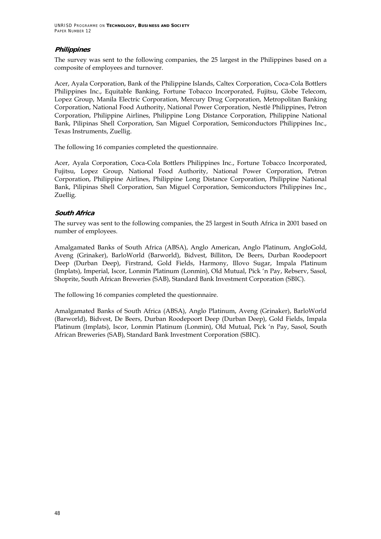UNRISD PROGRAMME ON **TECHNOLOGY, BUSINESS AND SOCIETY** PAPER NUMBER 12

#### **Philippines**

The survey was sent to the following companies, the 25 largest in the Philippines based on a composite of employees and turnover.

Acer, Ayala Corporation, Bank of the Philippine Islands, Caltex Corporation, Coca-Cola Bottlers Philippines Inc., Equitable Banking, Fortune Tobacco Incorporated, Fujitsu, Globe Telecom, Lopez Group, Manila Electric Corporation, Mercury Drug Corporation, Metropolitan Banking Corporation, National Food Authority, National Power Corporation, Nestlé Philippines, Petron Corporation, Philippine Airlines, Philippine Long Distance Corporation, Philippine National Bank, Pilipinas Shell Corporation, San Miguel Corporation, Semiconductors Philippines Inc., Texas Instruments, Zuellig.

The following 16 companies completed the questionnaire.

Acer, Ayala Corporation, Coca-Cola Bottlers Philippines Inc., Fortune Tobacco Incorporated, Fujitsu, Lopez Group, National Food Authority, National Power Corporation, Petron Corporation, Philippine Airlines, Philippine Long Distance Corporation, Philippine National Bank, Pilipinas Shell Corporation, San Miguel Corporation, Semiconductors Philippines Inc., Zuellig.

#### **South Africa**

The survey was sent to the following companies, the 25 largest in South Africa in 2001 based on number of employees.

Amalgamated Banks of South Africa (ABSA), Anglo American, Anglo Platinum, AngloGold, Aveng (Grinaker), BarloWorld (Barworld), Bidvest, Billiton, De Beers, Durban Roodepoort Deep (Durban Deep), Firstrand, Gold Fields, Harmony, Illovo Sugar, Impala Platinum (Implats), Imperial, Iscor, Lonmin Platinum (Lonmin), Old Mutual, Pick ën Pay, Rebserv, Sasol, Shoprite, South African Breweries (SAB), Standard Bank Investment Corporation (SBIC).

The following 16 companies completed the questionnaire.

Amalgamated Banks of South Africa (ABSA), Anglo Platinum, Aveng (Grinaker), BarloWorld (Barworld), Bidvest, De Beers, Durban Roodepoort Deep (Durban Deep), Gold Fields, Impala Platinum (Implats), Iscor, Lonmin Platinum (Lonmin), Old Mutual, Pick ën Pay, Sasol, South African Breweries (SAB), Standard Bank Investment Corporation (SBIC).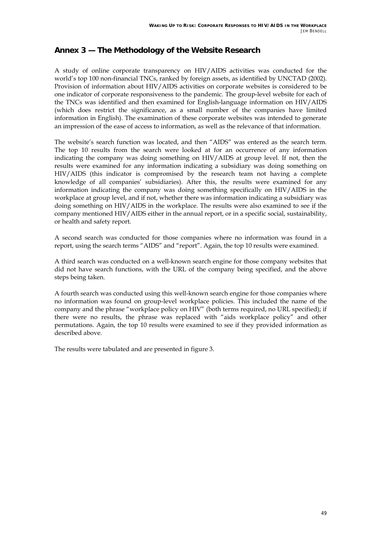### **Annex 3 — The Methodology of the Website Research**

A study of online corporate transparency on HIV/AIDS activities was conducted for the world's top 100 non-financial TNCs, ranked by foreign assets, as identified by UNCTAD (2002). Provision of information about HIV/AIDS activities on corporate websites is considered to be one indicator of corporate responsiveness to the pandemic. The group-level website for each of the TNCs was identified and then examined for English-language information on HIV/AIDS (which does restrict the significance, as a small number of the companies have limited information in English). The examination of these corporate websites was intended to generate an impression of the ease of access to information, as well as the relevance of that information.

The website's search function was located, and then "AIDS" was entered as the search term. The top 10 results from the search were looked at for an occurrence of any information indicating the company was doing something on HIV/AIDS at group level. If not, then the results were examined for any information indicating a subsidiary was doing something on HIV/AIDS (this indicator is compromised by the research team not having a complete knowledge of all companiesí subsidiaries). After this, the results were examined for any information indicating the company was doing something specifically on HIV/AIDS in the workplace at group level, and if not, whether there was information indicating a subsidiary was doing something on HIV/AIDS in the workplace. The results were also examined to see if the company mentioned HIV/AIDS either in the annual report, or in a specific social, sustainability, or health and safety report.

A second search was conducted for those companies where no information was found in a report, using the search terms "AIDS" and "report". Again, the top 10 results were examined.

A third search was conducted on a well-known search engine for those company websites that did not have search functions, with the URL of the company being specified, and the above steps being taken.

A fourth search was conducted using this well-known search engine for those companies where no information was found on group-level workplace policies. This included the name of the company and the phrase "workplace policy on HIV" (both terms required, no URL specified); if there were no results, the phrase was replaced with "aids workplace policy" and other permutations. Again, the top 10 results were examined to see if they provided information as described above.

The results were tabulated and are presented in figure 3.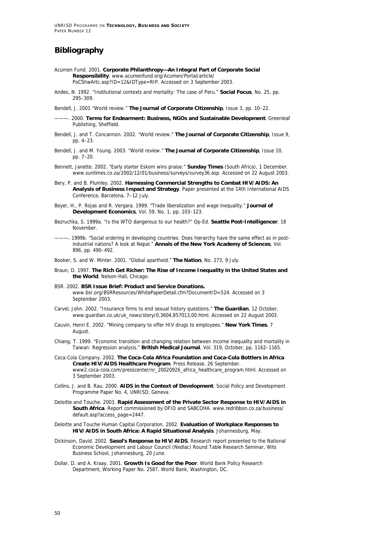UNRISD PROGRAMME ON **TECHNOLOGY, BUSINESS AND SOCIETY** PAPER NUMBER 12

#### **Bibliography**

- Acumen Fund. 2001. **Corporate Philanthropy—An Integral Part of Corporate Social Responsibility**. www.acumenfund.org/Acumen/Portal/article/ PoCShwArtc.asp?ID=12&IDType=RIP. Accessed on 3 September 2003.
- Andes, N. 1992. "Institutional contexts and mortality: The case of Peru." **Social Focus**, No. 25, pp. 295–309.
- Bendell, J. 2001 "World review." **The Journal of Corporate Citizenship**, Issue 3, pp. 10–22.
	- ———. 2000. **Terms for Endearment: Business, NGOs and Sustainable Development**. Greenleaf Publishing, Sheffield.
- Bendell, J. and T. Concannon. 2002. "World review." **The Journal of Corporate Citizenship**, Issue 9, pp. 4–23.
- Bendell, J. and M. Young. 2003. "World review." **The Journal of Corporate Citizenship**, Issue 10, pp. 7–20.
- Bennett, Janette. 2002. "Early starter Eskom wins praise." **Sunday Times** (South Africa), 1 December. www.suntimes.co.za/2002/12/01/business/surveys/survey36.asp. Accessed on 22 August 2003.
- Bery, P. and B. Plumley. 2002. **Harnessing Commercial Strengths to Combat HIV/AIDS: An Analysis of Business Impact and Strategy**. Paper presented at the 14th International AIDS Conference, Barcelona, 7–12 July.
- Beyer, H., P. Rojas and R. Vergara. 1999. "Trade liberalization and wage inequality." **Journal of Development Economics**, Vol. 59, No. 1, pp. 103–123.
- Bezruchka, S. 1999a. "Is the WTO dangerous to our health?" Op-Ed. **Seattle Post-Intelligencer**. 18 November.
- 1999b. "Social ordering in developing countries: Does hierarchy have the same effect as in postindustrial nations? A look at Nepal." **Annals of the New York Academy of Sciences**, Vol. 896, pp. 490–492.

Booker, S. and W. Minter. 2001. "Global apartheid." **The Nation**, No. 273, 9 July.

- Braun, D. 1997. **The Rich Get Richer: The Rise of Income Inequality in the United States and the World**. Nelson-Hall, Chicago.
- BSR. 2002. **BSR Issue Brief: Product and Service Donations.**  www.bsr.org/BSRResources/WhitePaperDetail.cfm?DocumentID=524. Accessed on 3 September 2003.
- Carvel, John. 2002. "Insurance firms to end sexual history questions." **The Guardian**, 12 October. www.guardian.co.uk/uk\_news/story/0,3604,857013,00.html. Accessed on 22 August 2003.
- Cauvin, Henri E. 2002. "Mining company to offer HIV drugs to employees." **New York Times**, 7 August.
- Chiang, T. 1999. "Economic transition and changing relation between income inequality and mortality in Taiwan: Regression analysis." **British Medical Journal**, Vol. 319, October, pp. 1162–1165.
- Coca-Cola Company. 2002. **The Coca-Cola Africa Foundation and Coca-Cola Bottlers in Africa Create HIV/AIDS Healthcare Program**. Press Release, 26 September. www2.coca-cola.com/presscenter/nr\_20020926\_africa\_healthcare\_program.html. Accessed on 3 September 2003.
- Collins, J. and B. Rau. 2000. **AIDS in the Context of Development**. Social Policy and Development Programme Paper No. 4, UNRISD, Geneva.
- Deloitte and Touche. 2003. **Rapid Assessment of the Private Sector Response to HIV/AIDS in South Africa**. Report commissioned by DFID and SABCOHA. www.redribbon.co.za/business/ default.asp?access\_page=2447.
- Deloitte and Touche Human Capital Corporation. 2002. **Evaluation of Workplace Responses to HIV/AIDS in South Africa: A Rapid Situational Analysis**. Johannesburg, May.
- Dickinson, David. 2002. **Sasol's Response to HIV/AIDS**. Research report presented to the National Economic Development and Labour Council (Nedlac) Round Table Research Seminar, Wits Business School, Johannesburg, 20 June.
- Dollar, D. and A. Kraay. 2001. **Growth Is Good for the Poor**. World Bank Policy Research Department, Working Paper No. 2587. World Bank, Washington, DC.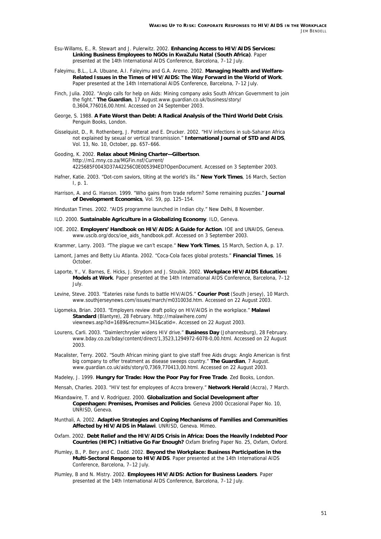- Esu-Willams, E., R. Stewart and J. Pulerwitz. 2002. **Enhancing Access to HIV/AIDS Services: Linking Business Employees to NGOs in KwaZulu Natal (South Africa)**. Paper presented at the 14th International AIDS Conference, Barcelona, 7–12 July.
- Faleyimu, B.L., L.A. Ubuane, A.I. Faleyimu and G.A. Aremo. 2002. **Managing Health and Welfare-Related Issues in the Times of HIV/AIDS: The Way Forward in the World of Work**. Paper presented at the 14th International AIDS Conference, Barcelona, 7–12 July.
- Finch, Julia. 2002. "Anglo calls for help on Aids: Mining company asks South African Government to join the fight." **The Guardian**, 17 August.www.guardian.co.uk/business/story/ 0,3604,776016,00.html. Accessed on 24 September 2003.
- George, S. 1988. **A Fate Worst than Debt: A Radical Analysis of the Third World Debt Crisis**. Penguin Books, London.
- Gisselquist, D., R. Rothenberg, J. Potterat and E. Drucker. 2002. "HIV infections in sub-Saharan Africa not explained by sexual or vertical transmission." **International Journal of STD and AIDS**, Vol. 13, No. 10, October, pp. 657–666.
- Gooding, K. 2002. **Relax about Mining Charter—Gilbertson**. http://m1.mny.co.za/MGFin.nsf/Current/ 4225685F0043D37A42256C0E005394ED?OpenDocument. Accessed on 3 September 2003.
- Hafner, Katie. 2003. "Dot-com saviors, tilting at the world's ills." **New York Times**, 16 March, Section I, p. 1.
- Harrison, A. and G. Hanson. 1999. "Who gains from trade reform? Some remaining puzzles." **Journal of Development Economics**, Vol. 59, pp. 125–154.
- Hindustan Times. 2002. "AIDS programme launched in Indian city." New Delhi, 8 November.
- ILO. 2000. **Sustainable Agriculture in a Globalizing Economy**. ILO, Geneva.
- IOE. 2002. **Employers' Handbook on HIV/AIDS: A Guide for Action**. IOE and UNAIDS, Geneva. www.uscib.org/docs/ioe\_aids\_handbook.pdf. Accessed on 3 September 2003.
- Krammer, Larry. 2003. "The plague we can't escape." **New York Times**, 15 March, Section A, p. 17.
- Lamont, James and Betty Liu Atlanta. 2002. "Coca-Cola faces global protests." **Financial Times**, 16 October.
- Laporte, Y., V. Barnes, E. Hicks, J. Strydom and J. Stoubik. 2002. **Workplace HIV/AIDS Education: Models at Work**. Paper presented at the 14th International AIDS Conference, Barcelona, 7–12 July.
- Levine, Steve. 2003. "Eateries raise funds to battle HIV/AIDS." **Courier Post** (South Jersey), 10 March. www.southjerseynews.com/issues/march/m031003d.htm. Accessed on 22 August 2003.
- Ligomeka, Brian. 2003. "Employers review draft policy on HIV/AIDS in the workplace." **Malawi Standard** (Blantyre), 28 February. http://malawihere.com/ viewnews.asp?id=1689&recnum=341&catid=. Accessed on 22 August 2003.
- Lourens, Carli. 2003. "Daimlerchrysler widens HIV drive." **Business Day** (Johannesburg), 28 February. www.bday.co.za/bday/content/direct/1,3523,1294972-6078-0,00.html. Accessed on 22 August 2003.
- Macalister, Terry. 2002. "South African mining giant to give staff free Aids drugs: Anglo American is first big company to offer treatment as disease sweeps country." **The Guardian**, 7 August. www.guardian.co.uk/aids/story/0,7369,770413,00.html. Accessed on 22 August 2003.

Madeley, J. 1999. **Hungry for Trade: How the Poor Pay for Free Trade**. Zed Books, London.

Mensah, Charles. 2003. "HIV test for employees of Accra brewery." **Network Herald** (Accra), 7 March.

- Mkandawire, T. and V. Rodríguez. 2000. **Globalization and Social Development after Copenhagen: Premises, Promises and Policies**. Geneva 2000 Occasional Paper No. 10, UNRISD, Geneva.
- Munthali, A. 2002. **Adaptive Strategies and Coping Mechanisms of Families and Communities Affected by HIV/AIDS in Malawi**. UNRISD, Geneva. Mimeo.
- Oxfam. 2002. **Debt Relief and the HIV/AIDS Crisis in Africa: Does the Heavily Indebted Poor Countries (HIPC) Initiative Go Far Enough?** Oxfam Briefing Paper No. 25, Oxfam, Oxford.
- Plumley, B., P. Bery and C. Dadd. 2002. **Beyond the Workplace: Business Participation in the Multi-Sectoral Response to HIV/AIDS**. Paper presented at the 14th International AIDS Conference, Barcelona, 7–12 July.
- Plumley, B and N. Mistry. 2002. **Employees HIV/AIDS: Action for Business Leaders**. Paper presented at the 14th International AIDS Conference, Barcelona, 7–12 July.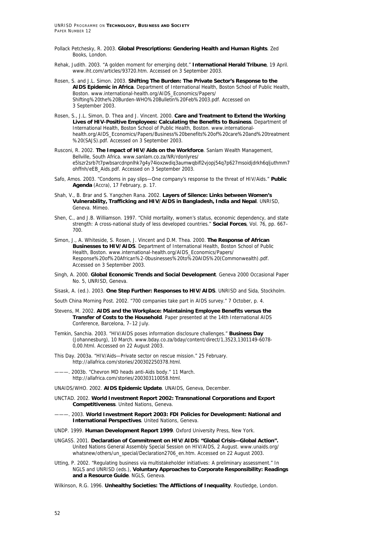- Pollack Petchesky, R. 2003. **Global Prescriptions: Gendering Health and Human Rights**. Zed Books, London.
- Rehak, Judith. 2003. "A golden moment for emerging debt." **International Herald Tribune**, 19 April. www.iht.com/articles/93720.htm. Accessed on 3 September 2003.
- Rosen, S. and J.L. Simon. 2003. **Shifting The Burden: The Private Sector's Response to the AIDS Epidemic in Africa**. Department of International Health, Boston School of Public Health, Boston. www.international-health.org/AIDS\_Economics/Papers/ Shifting%20the%20Burden-WHO%20Bulletin%20Feb%2003.pdf. Accessed on 3 September 2003.
- Rosen, S., J.L. Simon, D. Thea and J. Vincent. 2000. **Care and Treatment to Extend the Working Lives of HIV-Positive Employees: Calculating the Benefits to Business**. Department of International Health, Boston School of Public Health, Boston. www.internationalhealth.org/AIDS\_Economics/Papers/Business%20benefits%20of%20care%20and%20treatment %20(SAJS).pdf. Accessed on 3 September 2003.
- Rusconi, R. 2002. **The Impact of HIV/Aids on the Workforce**. Sanlam Wealth Management, Bellville, South Africa. www.sanlam.co.za/NR/rdonlyres/ e5lszr2srb7t7pwbsarcdnpnlhk7g4y74ioxzwdiq3aumwqbifl2vjopj54q7p627msoidjdrkh6qljuthmm7 ohffnh/eEB\_Aids.pdf. Accessed on 3 September 2003.
- Safo, Amos. 2003. "Condoms in pay slips—One company's response to the threat of HIV/Aids." **Public Agenda** (Accra), 17 February, p. 17.
- Shah, V., B. Brar and S. Yangchen Rana. 2002. **Layers of Silence: Links between Women's Vulnerability, Trafficking and HIV/AIDS in Bangladesh, India and Nepal**. UNRISD, Geneva. Mimeo.
- Shen, C., and J.B. Williamson. 1997. "Child mortality, women's status, economic dependency, and state strength: A cross-national study of less developed countries." **Social Forces**, Vol. 76, pp. 667– 700.
- Simon, J., A. Whiteside, S. Rosen, J. Vincent and D.M. Thea. 2000. **The Response of African Businesses to HIV/AIDS**. Department of International Health, Boston School of Public Health, Boston. www.international-health.org/AIDS\_Economics/Papers/ Response%20of%20African%2-0businesses%20to%20AIDS%20(Commonwealth).pdf. Accessed on 3 September 2003.
- Singh, A. 2000. **Global Economic Trends and Social Development**. Geneva 2000 Occasional Paper No. 5, UNRISD, Geneva.
- Sisask, A. (ed.). 2003. **One Step Further: Responses to HIV/AIDS**. UNRISD and Sida, Stockholm.

South China Morning Post. 2002. "700 companies take part in AIDS survey." 7 October, p. 4.

- Stevens, M. 2002. **AIDS and the Workplace: Maintaining Employee Benefits versus the Transfer of Costs to the Household**. Paper presented at the 14th International AIDS Conference, Barcelona, 7–12 July.
- Temkin, Sanchia. 2003. "HIV/AIDS poses information disclosure challenges." **Business Day** (Johannesburg), 10 March. www.bday.co.za/bday/content/direct/1,3523,1301149-6078- 0,00.html. Accessed on 22 August 2003.
- This Day. 2003a. "HIV/Aids—Private sector on rescue mission." 25 February. http://allafrica.com/stories/200302250378.html.

2003b. "Chevron MD heads anti-Aids body." 11 March. http://allafrica.com/stories/200303110058.html.

UNAIDS/WHO. 2002. **AIDS Epidemic Update**. UNAIDS, Geneva, December.

- UNCTAD. 2002. **World Investment Report 2002: Transnational Corporations and Export Competitiveness**. United Nations, Geneva.
- ———. 2003. **World Investment Report 2003: FDI Policies for Development: National and International Perspectives**. United Nations, Geneva.
- UNDP. 1999. **Human Development Report 1999**. Oxford University Press, New York.
- UNGASS. 2001. **Declaration of Commitment on HIV/AIDS: "Global Crisis—Global Action".** United Nations General Assembly Special Session on HIV/AIDS, 2 August. www.unaids.org/ whatsnew/others/un\_special/Declaration2706\_en.htm. Accessed on 22 August 2003.
- Utting, P. 2002. "Regulating business via multistakeholder initiatives: A preliminary assessment." In NGLS and UNRISD (eds.), **Voluntary Approaches to Corporate Responsibility: Readings and a Resource Guide**. NGLS, Geneva.

Wilkinson, R.G. 1996. **Unhealthy Societies: The Afflictions of Inequality**. Routledge, London.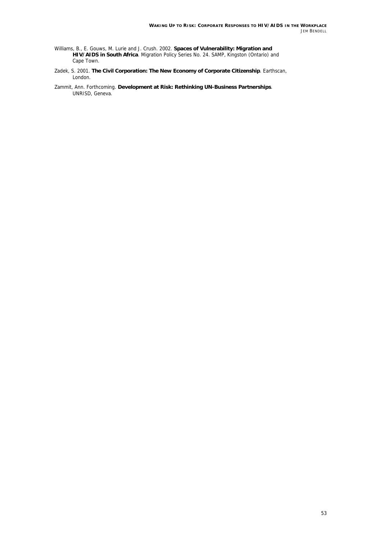- Williams, B., E. Gouws, M. Lurie and J. Crush. 2002. **Spaces of Vulnerability: Migration and HIV/AIDS in South Africa**. Migration Policy Series No. 24. SAMP, Kingston (Ontario) and Cape Town.
- Zadek, S. 2001. **The Civil Corporation: The New Economy of Corporate Citizenship**. Earthscan, London.
- Zammit, Ann. Forthcoming. **Development at Risk: Rethinking UN-Business Partnerships**. UNRISD, Geneva.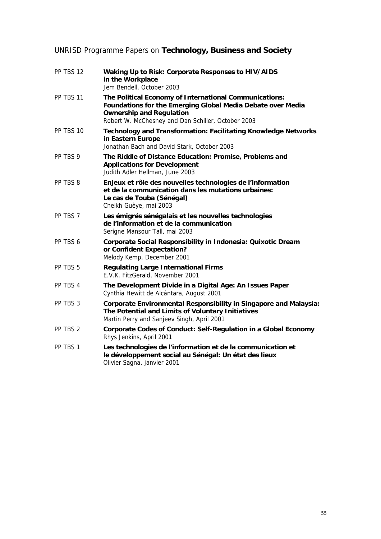## UNRISD Programme Papers on **Technology, Business and Society**

| PP TBS 12 | Waking Up to Risk: Corporate Responses to HIV/AIDS<br>in the Workplace<br>Jem Bendell, October 2003                                                                                                            |
|-----------|----------------------------------------------------------------------------------------------------------------------------------------------------------------------------------------------------------------|
| PP TBS 11 | The Political Economy of International Communications:<br>Foundations for the Emerging Global Media Debate over Media<br><b>Ownership and Regulation</b><br>Robert W. McChesney and Dan Schiller, October 2003 |
| PP TBS 10 | <b>Technology and Transformation: Facilitating Knowledge Networks</b><br>in Eastern Europe<br>Jonathan Bach and David Stark, October 2003                                                                      |
| PP TBS 9  | The Riddle of Distance Education: Promise, Problems and<br><b>Applications for Development</b><br>Judith Adler Hellman, June 2003                                                                              |
| PP TBS 8  | Enjeux et rôle des nouvelles technologies de l'information<br>et de la communication dans les mutations urbaines:<br>Le cas de Touba (Sénégal)<br>Cheikh Guèye, mai 2003                                       |
| PP TBS 7  | Les émigrés sénégalais et les nouvelles technologies<br>de l'information et de la communication<br>Serigne Mansour Tall, mai 2003                                                                              |
| PP TBS 6  | Corporate Social Responsibility in Indonesia: Quixotic Dream<br>or Confident Expectation?<br>Melody Kemp, December 2001                                                                                        |
| PP TBS 5  | <b>Regulating Large International Firms</b><br>E.V.K. FitzGerald, November 2001                                                                                                                                |
| PP TBS 4  | The Development Divide in a Digital Age: An Issues Paper<br>Cynthia Hewitt de Alcántara, August 2001                                                                                                           |
| PP TBS 3  | <b>Corporate Environmental Responsibility in Singapore and Malaysia:</b><br>The Potential and Limits of Voluntary Initiatives<br>Martin Perry and Sanjeev Singh, April 2001                                    |
| PP TBS 2  | <b>Corporate Codes of Conduct: Self-Regulation in a Global Economy</b><br>Rhys Jenkins, April 2001                                                                                                             |
| PP TBS 1  | Les technologies de l'information et de la communication et<br>le développement social au Sénégal: Un état des lieux<br>Olivier Sagna, janvier 2001                                                            |